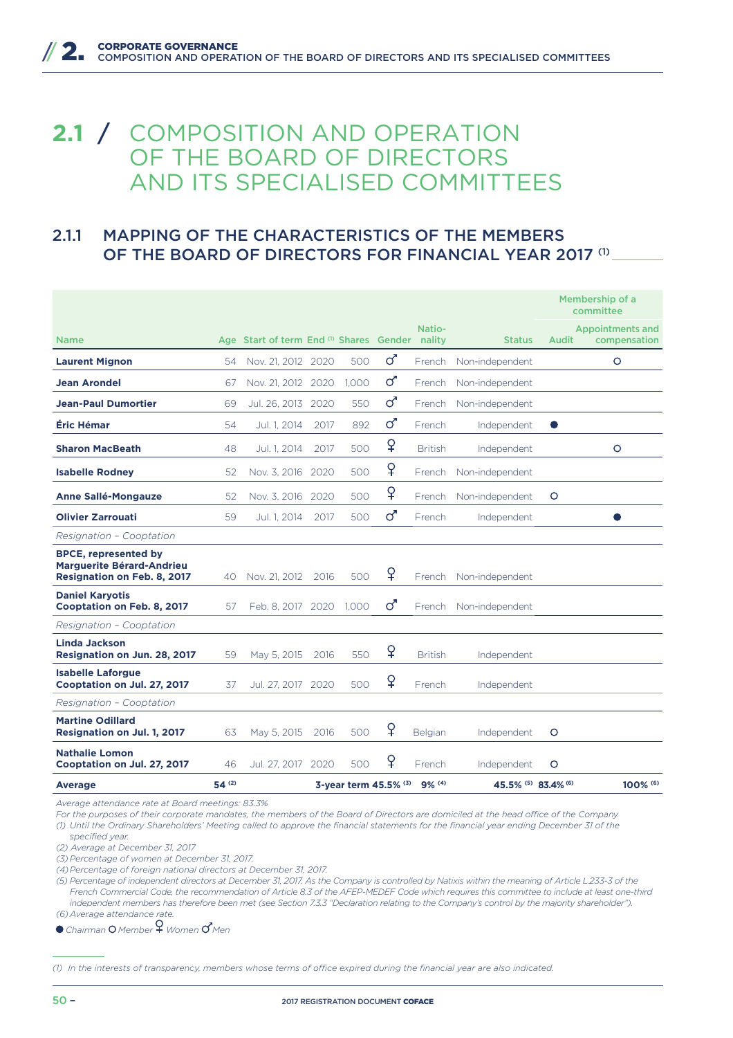## **2.1** / COMPOSITION AND OPERATION OF THE BOARD OF DIRECTORS AND ITS SPECIALISED COMMITTEES

## 2.1.1 MAPPING OF THE CHARACTERISTICS OF THE MEMBERS OF THE BOARD OF DIRECTORS FOR FINANCIAL YEAR 2017 (1)

|                                                                                                       |            |                                         |      |       |                              |                  |                                           |           | Membership of a<br>committee            |
|-------------------------------------------------------------------------------------------------------|------------|-----------------------------------------|------|-------|------------------------------|------------------|-------------------------------------------|-----------|-----------------------------------------|
| <b>Name</b>                                                                                           |            | Age Start of term End (1) Shares Gender |      |       |                              | Natio-<br>nality | <b>Status</b>                             | Audit     | <b>Appointments and</b><br>compensation |
| <b>Laurent Mignon</b>                                                                                 | 54         | Nov. 21, 2012 2020                      |      | 500   | ර                            | French           | Non-independent                           |           | $\circ$                                 |
| <b>Jean Arondel</b>                                                                                   | 67         | Nov. 21, 2012 2020                      |      | 1.000 | ර                            | French           | Non-independent                           |           |                                         |
| <b>Jean-Paul Dumortier</b>                                                                            | 69         | Jul. 26, 2013 2020                      |      | 550   | ර                            | French           | Non-independent                           |           |                                         |
| Éric Hémar                                                                                            | 54         | Jul. 1, 2014                            | 2017 | 892   | ර'                           | French           | Independent                               | $\bullet$ |                                         |
| <b>Sharon MacBeath</b>                                                                                | 48         | Jul. 1. 2014                            | 2017 | 500   | ¥                            | <b>British</b>   | Independent                               |           | $\circ$                                 |
| <b>Isabelle Rodney</b>                                                                                | 52         | Nov. 3, 2016                            | 2020 | 500   | $\overline{P}$               | French           | Non-independent                           |           |                                         |
| <b>Anne Sallé-Mongauze</b>                                                                            | 52         | Nov. 3, 2016                            | 2020 | 500   | $\overline{P}$               | French           | Non-independent                           | O         |                                         |
| <b>Olivier Zarrouati</b>                                                                              | 59         | Jul. 1. 2014                            | 2017 | 500   | ර                            | French           | Independent                               |           |                                         |
| Resignation - Cooptation                                                                              |            |                                         |      |       |                              |                  |                                           |           |                                         |
| <b>BPCE, represented by</b><br><b>Marquerite Bérard-Andrieu</b><br><b>Resignation on Feb. 8, 2017</b> | 40         | Nov. 21, 2012                           | 2016 | 500   | ¥                            | French           | Non-independent                           |           |                                         |
| <b>Daniel Karyotis</b><br>Cooptation on Feb. 8, 2017                                                  | 57         | Feb. 8, 2017 2020 1.000                 |      |       | ර                            |                  | French Non-independent                    |           |                                         |
| Resignation - Cooptation                                                                              |            |                                         |      |       |                              |                  |                                           |           |                                         |
| <b>Linda Jackson</b><br>Resignation on Jun. 28, 2017                                                  | 59         | May 5, 2015                             | 2016 | 550   | ¥                            | <b>British</b>   | Independent                               |           |                                         |
| <b>Isabelle Laforgue</b><br>Cooptation on Jul. 27, 2017                                               | 37         | Jul. 27, 2017 2020                      |      | 500   | ♀                            | French           | Independent                               |           |                                         |
| Resignation - Cooptation                                                                              |            |                                         |      |       |                              |                  |                                           |           |                                         |
| <b>Martine Odillard</b><br>Resignation on Jul. 1, 2017                                                | 63         | May 5, 2015                             | 2016 | 500   | ¥                            | Belgian          | Independent                               | $\circ$   |                                         |
| <b>Nathalie Lomon</b><br>Cooptation on Jul. 27, 2017                                                  | 46         | Jul. 27, 2017                           | 2020 | 500   | ¥                            | French           | Independent                               | $\circ$   |                                         |
| Average                                                                                               | $54^{(2)}$ |                                         |      |       | 3-year term 45.5% (3) 9% (4) |                  | 45.5% <sup>(5)</sup> 83.4% <sup>(6)</sup> |           | 100% (6)                                |

*Average attendance rate at Board meetings: 83.3%*

For the purposes of their corporate mandates, the members of the Board of Directors are domiciled at the head office of the Company. *(1) Until the Ordinary Shareholders' Meeting called to approve the financial statements for the financial year ending December 31 of the specified year.*

*(2) Average at December 31, 2017* 

*(3) Percentage of women at December 31, 2017.*

*(4) Percentage of foreign national directors at December 31, 2017.*

*(5) Percentage of independent directors at December 31, 2017. As the Company is controlled by Natixis within the meaning of Article L.233-3 of the French Commercial Code, the recommendation of Article 8.3 of the AFEP-MEDEF Code which requires this committee to include at least one-third independent members has therefore been met (see Section 7.3.3 "Declaration relating to the Company's control by the majority shareholder"). (6) Average attendance rate.*

*Chairman Member Women Men*

(1) In the interests of transparency, members whose terms of office expired during the financial year are also indicated.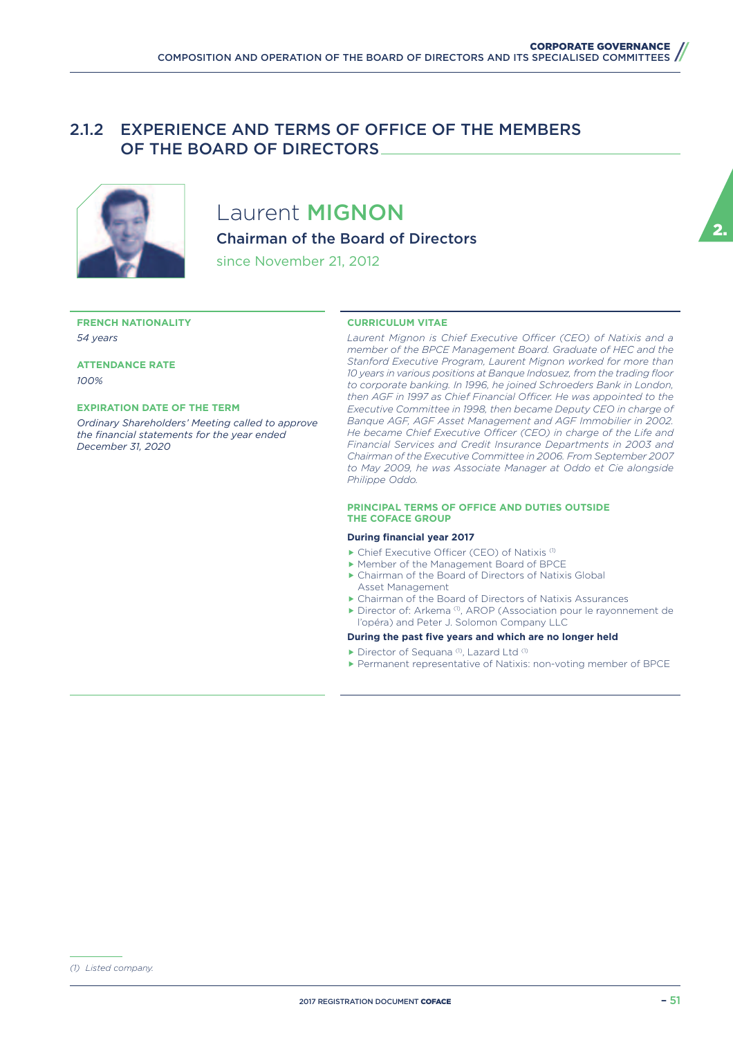### 2.1.2 EXPERIENCE AND TERMS OF OFFICE OF THE MEMBERS OF THE BOARD OF DIRECTORS



## Laurent **MIGNON**

Chairman of the Board of Directors

since November 21, 2012

#### **FRENCH NATIONALITY** *54 years*

**ATTENDANCE RATE** *100%*

#### **EXPIRATION DATE OF THE TERM**

*Ordinary Shareholders' Meeting called to approve the financial statements for the year ended December 31, 2020*

#### **CURRICULUM VITAE**

Laurent Mignon is Chief Executive Officer (CEO) of Natixis and a *member of the BPCE Management Board. Graduate of HEC and the Stanford Executive Program, Laurent Mignon worked for more than 10 years in various positions at Banque Indosuez, from the trading floor to corporate banking. In 1996, he joined Schroeders Bank in London,*  then AGF in 1997 as Chief Financial Officer. He was appointed to the *Executive Committee in 1998, then became Deputy CEO in charge of*  Banque AGF, AGF Asset Management and AGF Immobilier in 2002. *He became Chief Executive Officer (CEO) in charge of the Life and Financial Services and Credit Insurance Departments in 2003 and Chairman of the Executive Committee in 2006. From September 2007 to May 2009, he was Associate Manager at Oddo et Cie alongside Philippe Oddo.*

#### **PRINCIPAL TERMS OF OFFICE AND DUTIES OUTSIDE THE COFACE GROUP**

#### **During financial year 2017**

- $\blacktriangleright$  Chief Executive Officer (CEO) of Natixis (1)
- ▶ Member of the Management Board of BPCE
- $\blacktriangleright$  Chairman of the Board of Directors of Natixis Global Asset Management
- ▶ Chairman of the Board of Directors of Natixis Assurances
- f Director of: Arkema (1), AROP (Association pour le rayonnement de l'opéra) and Peter J. Solomon Company LLC

#### **During the past five years and which are no longer held**

- $\blacktriangleright$  Director of Sequana (1), Lazard Ltd (1)
- **Permanent representative of Natixis: non-voting member of BPCE**

*(1) Listed company.*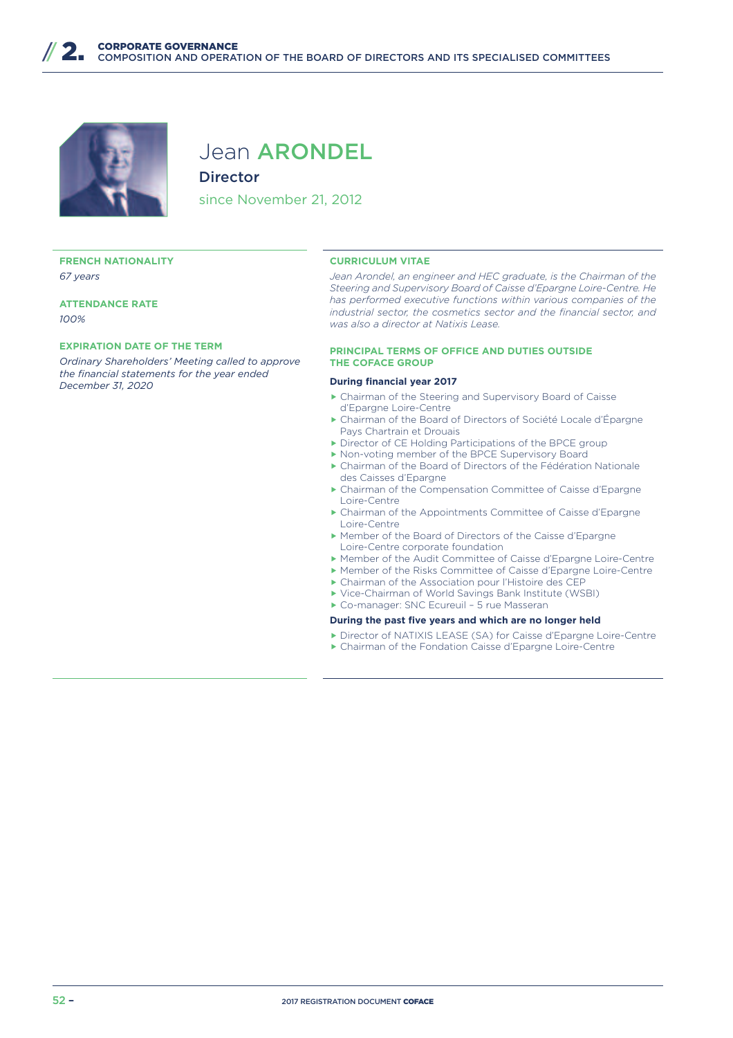

## Jean ARONDEL **Director**

since November 21, 2012

#### **FRENCH NATIONALITY** *67 years*

**ATTENDANCE RATE** *100%*

#### **EXPIRATION DATE OF THE TERM**

*Ordinary Shareholders' Meeting called to approve the financial statements for the year ended December 31, 2020*

#### **CURRICULUM VITAE**

Jean Arondel, an engineer and HEC graduate, is the Chairman of the *Steering and Supervisory Board of Caisse d'Epargne Loire-Centre. He has performed executive functions within various companies of the industrial sector, the cosmetics sector and the financial sector, and was also a director at Natixis Lease.*

#### **PRINCIPAL TERMS OF OFFICE AND DUTIES OUTSIDE THE COFACE GROUP**

#### **During financial year 2017**

- $\blacktriangleright$  Chairman of the Steering and Supervisory Board of Caisse d'Epargne Loire-Centre
- f Chairman of the Board of Directors of Société Locale d'Épargne Pays Chartrain et Drouais
- **Director of CE Holding Participations of the BPCE group**
- Mon-voting member of the BPCE Supervisory Board
- $\blacktriangleright$  Chairman of the Board of Directors of the Fédération Nationale des Caisses d'Epargne
- f Chairman of the Compensation Committee of Caisse d'Epargne Loire-Centre
- f Chairman of the Appointments Committee of Caisse d'Epargne Loire-Centre
- f Member of the Board of Directors of the Caisse d'Epargne Loire-Centre corporate foundation
- f Member of the Audit Committee of Caisse d'Epargne Loire-Centre
- f Member of the Risks Committee of Caisse d'Epargne Loire-Centre
- $\triangleright$  Chairman of the Association pour l'Histoire des CEP
- $\blacktriangleright$  Vice-Chairman of World Savings Bank Institute (WSBI)
- ▶ Co-manager: SNC Ecureuil 5 rue Masseran

- f Director of NATIXIS LEASE (SA) for Caisse d'Epargne Loire-Centre
- f Chairman of the Fondation Caisse d'Epargne Loire-Centre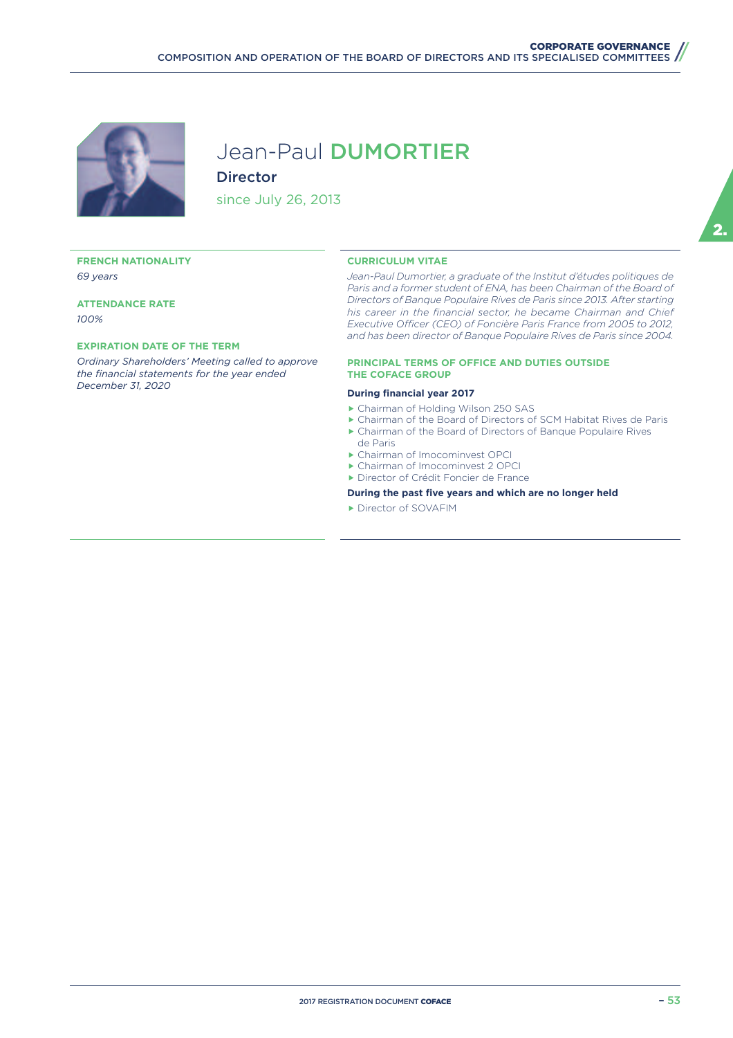

## Jean-Paul DUMORTIER Director

since July 26, 2013

#### **FRENCH NATIONALITY** *69 years*

**ATTENDANCE RATE** *100%*

#### **EXPIRATION DATE OF THE TERM**

*Ordinary Shareholders' Meeting called to approve the financial statements for the year ended December 31, 2020*

#### **CURRICULUM VITAE**

*Jean-Paul Dumortier, a graduate of the Institut d'études politiques de*  Paris and a former student of ENA, has been Chairman of the Board of *Directors of Banque Populaire Rives de Paris since 2013. After starting his career in the financial sector, he became Chairman and Chief Executive Officer (CEO) of Foncière Paris France from 2005 to 2012, and has been director of Banque Populaire Rives de Paris since 2004.*

#### **PRINCIPAL TERMS OF OFFICE AND DUTIES OUTSIDE THE COFACE GROUP**

#### **During financial year 2017**

- ▶ Chairman of Holding Wilson 250 SAS
- ▶ Chairman of the Board of Directors of SCM Habitat Rives de Paris
- f Chairman of the Board of Directors of Banque Populaire Rives de Paris
- ▶ Chairman of Imocominvest OPCI
- ▶ Chairman of Imocominvest 2 OPCI
- **F** Director of Crédit Foncier de France
- **During the past five years and which are no longer held**
- **Director of SOVAFIM**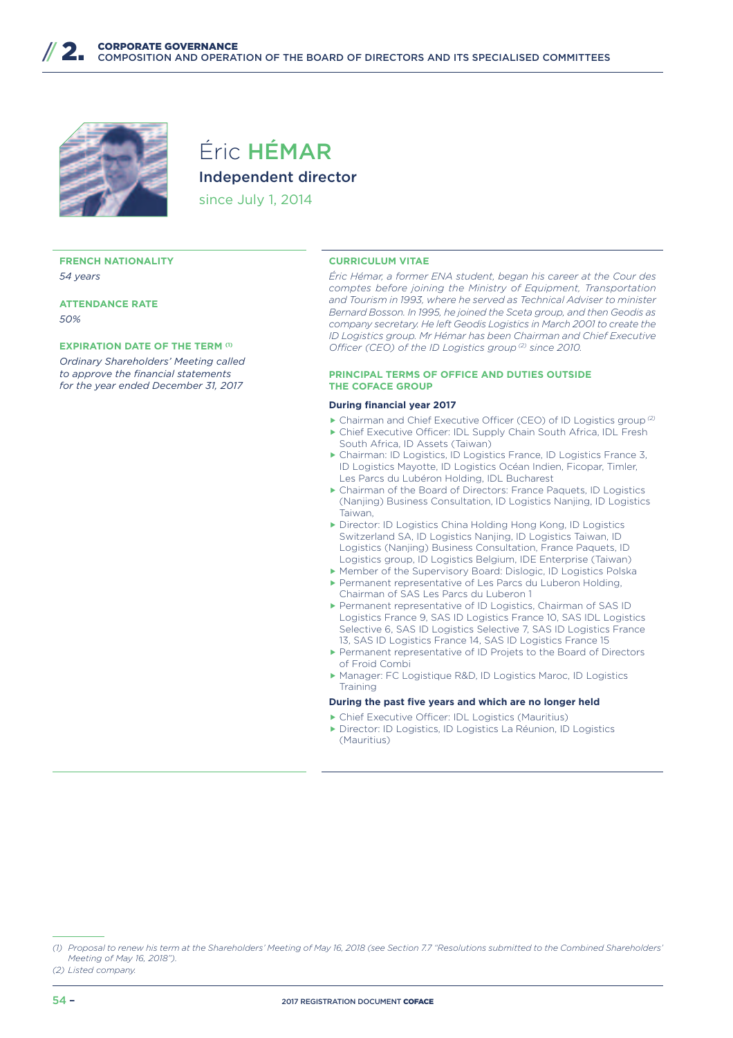

## Éric HÉMAR Independent director since July 1, 2014

#### **FRENCH NATIONALITY** *54 years*

**ATTENDANCE RATE** *50%*

#### **EXPIRATION DATE OF THE TERM <sup>(1)</sup>**

*Ordinary Shareholders' Meeting called to approve the financial statements for the year ended December 31, 2017*

#### **CURRICULUM VITAE**

*Éric Hémar, a former ENA student, began his career at the Cour des comptes before joining the Ministry of Equipment, Transportation and Tourism in 1993, where he served as Technical Adviser to minister Bernard Bosson. In 1995, he joined the Sceta group, and then Geodis as company secretary. He left Geodis Logistics in March 2001 to create the ID Logistics group. Mr Hémar has been Chairman and Chief Executive Officer (CEO) of the ID Logistics group*<sup>(2)</sup> since 2010.

#### **PRINCIPAL TERMS OF OFFICE AND DUTIES OUTSIDE THE COFACE GROUP**

#### **During financial year 2017**

- ▶ Chairman and Chief Executive Officer (CEO) of ID Logistics group<sup>(2)</sup>
- ▶ Chief Executive Officer: IDL Supply Chain South Africa, IDL Fresh South Africa, ID Assets (Taiwan)
- ▶ Chairman: ID Logistics, ID Logistics France, ID Logistics France 3, ID Logistics Mayotte, ID Logistics Océan Indien, Ficopar, Timler, Les Parcs du Lubéron Holding, IDL Bucharest
- $\triangleright$  Chairman of the Board of Directors: France Paquets, ID Logistics (Nanjing) Business Consultation, ID Logistics Nanjing, ID Logistics Taiwan,
- **F** Director: ID Logistics China Holding Hong Kong, ID Logistics Switzerland SA, ID Logistics Nanjing, ID Logistics Taiwan, ID Logistics (Nanjing) Business Consultation, France Paquets, ID Logistics group, ID Logistics Belgium, IDE Enterprise (Taiwan)
- ▶ Member of the Supervisory Board: Dislogic, ID Logistics Polska **Permanent representative of Les Parcs du Luberon Holding,**
- Chairman of SAS Les Parcs du Luberon 1 **Permanent representative of ID Logistics, Chairman of SAS ID**
- Logistics France 9, SAS ID Logistics France 10, SAS IDL Logistics Selective 6, SAS ID Logistics Selective 7, SAS ID Logistics France 13, SAS ID Logistics France 14, SAS ID Logistics France 15
- ▶ Permanent representative of ID Projets to the Board of Directors of Froid Combi
- ▶ Manager: FC Logistique R&D, ID Logistics Maroc, ID Logistics **Training**

- $\triangleright$  Chief Executive Officer: IDL Logistics (Mauritius)
- f Director: ID Logistics, ID Logistics La Réunion, ID Logistics (Mauritius)

*<sup>(1)</sup> Proposal to renew his term at the Shareholders' Meeting of May 16, 2018 (see Section 7.7 "Resolutions submitted to the Combined Shareholders' Meeting of May 16, 2018").*

*<sup>(2)</sup> Listed company.*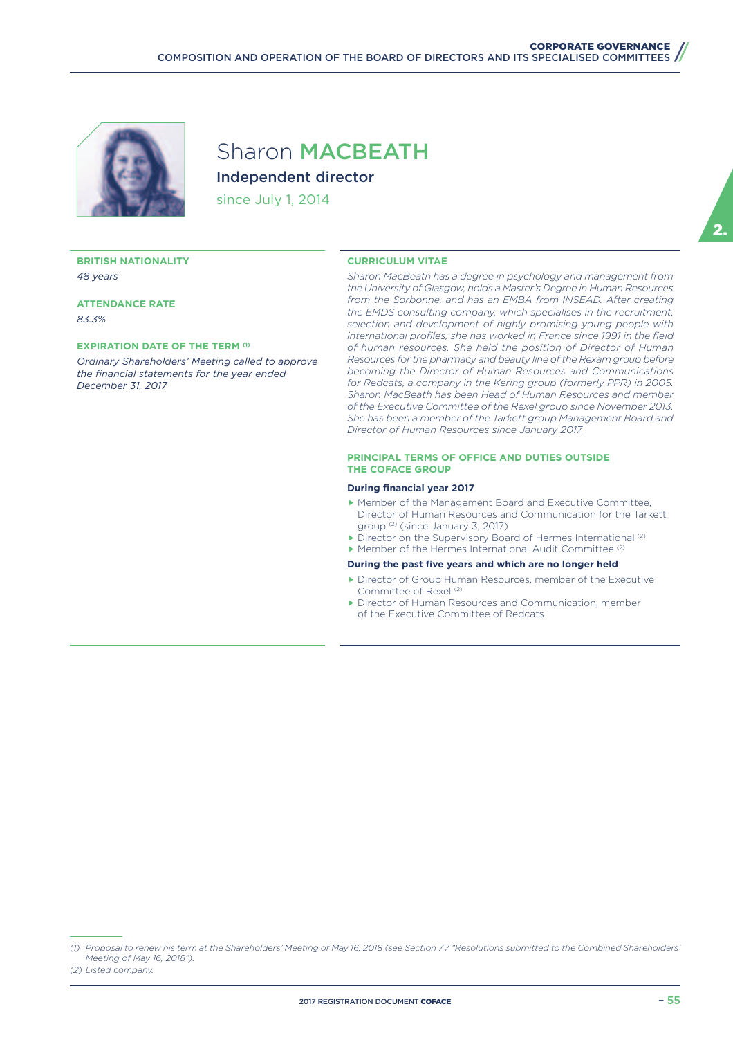

## Sharon MACBEATH Independent director

since July 1, 2014

#### **BRITISH NATIONALITY** *48 years*

**ATTENDANCE RATE** *83.3%*

#### **EXPIRATION DATE OF THE TERM (1)**

*Ordinary Shareholders' Meeting called to approve the financial statements for the year ended December 31, 2017*

#### **CURRICULUM VITAE**

*Sharon MacBeath has a degree in psychology and management from the University of Glasgow, holds a Master's Degree in Human Resources from the Sorbonne, and has an EMBA from INSEAD. After creating the EMDS consulting company, which specialises in the recruitment, selection and development of highly promising young people with international profiles, she has worked in France since 1991 in the field of human resources. She held the position of Director of Human Resources for the pharmacy and beauty line of the Rexam group before becoming the Director of Human Resources and Communications*  for Redcats, a company in the Kering group (formerly PPR) in 2005. *Sharon MacBeath has been Head of Human Resources and member of the Executive Committee of the Rexel group since November 2013. She has been a member of the Tarkett group Management Board and Director of Human Resources since January 2017.*

#### **PRINCIPAL TERMS OF OFFICE AND DUTIES OUTSIDE THE COFACE GROUP**

#### **During financial year 2017**

- f Member of the Management Board and Executive Committee, Director of Human Resources and Communication for the Tarkett group (2) (since January 3, 2017)
- $\blacktriangleright$  Director on the Supervisory Board of Hermes International (2)
- $\blacktriangleright$  Member of the Hermes International Audit Committee (2)

- $\blacktriangleright$  Director of Group Human Resources, member of the Executive Committee of Rexel<sup>(2)</sup>
- **F** Director of Human Resources and Communication, member of the Executive Committee of Redcats

*<sup>(1)</sup> Proposal to renew his term at the Shareholders' Meeting of May 16, 2018 (see Section 7.7 "Resolutions submitted to the Combined Shareholders' Meeting of May 16, 2018").*

*<sup>(2)</sup> Listed company.*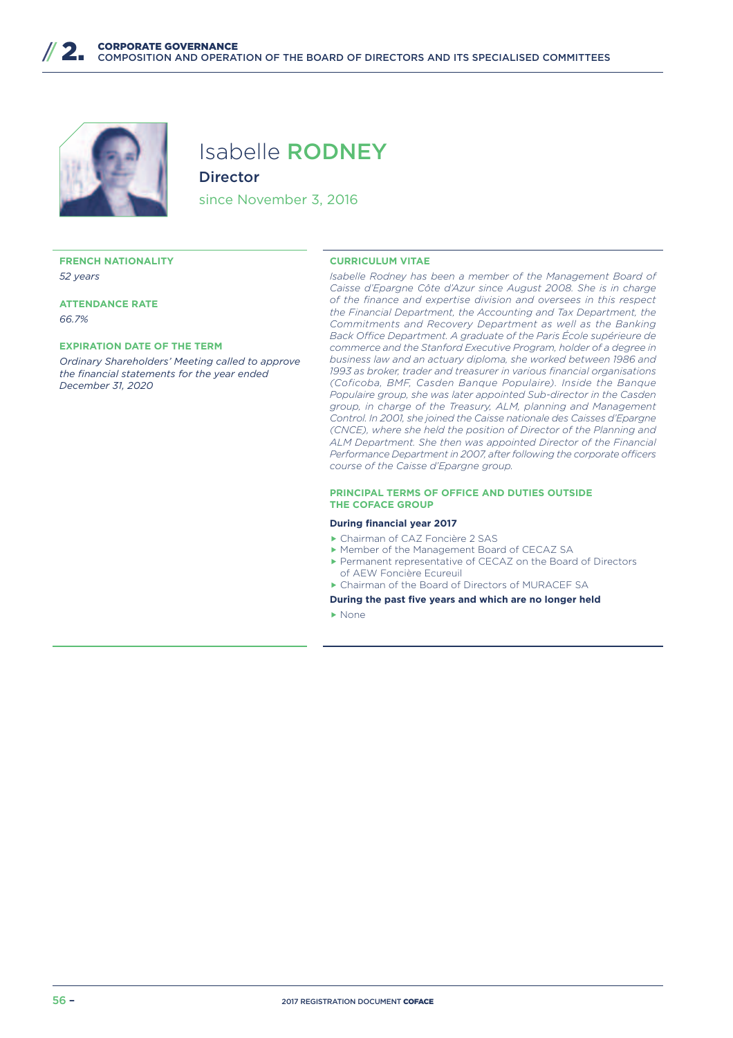

## Isabelle RODNEY **Director**

since November 3, 2016

#### **FRENCH NATIONALITY** *52 years*

**ATTENDANCE RATE** *66.7%*

#### **EXPIRATION DATE OF THE TERM**

*Ordinary Shareholders' Meeting called to approve the financial statements for the year ended December 31, 2020*

#### **CURRICULUM VITAE**

*Isabelle Rodney has been a member of the Management Board of Caisse d'Epargne Côte d'Azur since August 2008. She is in charge of the finance and expertise division and oversees in this respect the Financial Department, the Accounting and Tax Department, the Commitments and Recovery Department as well as the Banking*  Back Office Department. A graduate of the Paris École supérieure de *commerce and the Stanford Executive Program, holder of a degree in business law and an actuary diploma, she worked between 1986 and 1993 as broker, trader and treasurer in various financial organisations (Coficoba, BMF, Casden Banque Populaire). Inside the Banque Populaire group, she was later appointed Sub-director in the Casden group, in charge of the Treasury, ALM, planning and Management Control. In 2001, she joined the Caisse nationale des Caisses d'Epargne (CNCE), where she held the position of Director of the Planning and ALM Department. She then was appointed Director of the Financial Performance Department in 2007, after following the corporate officers course of the Caisse d'Epargne group.*

#### **PRINCIPAL TERMS OF OFFICE AND DUTIES OUTSIDE THE COFACE GROUP**

#### **During financial year 2017**

- f Chairman of CAZ Foncière 2 SAS
- ▶ Member of the Management Board of CECAZ SA
- ▶ Permanent representative of CECAZ on the Board of Directors of AEW Foncière Ecureuil
- ▶ Chairman of the Board of Directors of MURACEF SA
- **During the past five years and which are no longer held**
- $\blacktriangleright$  None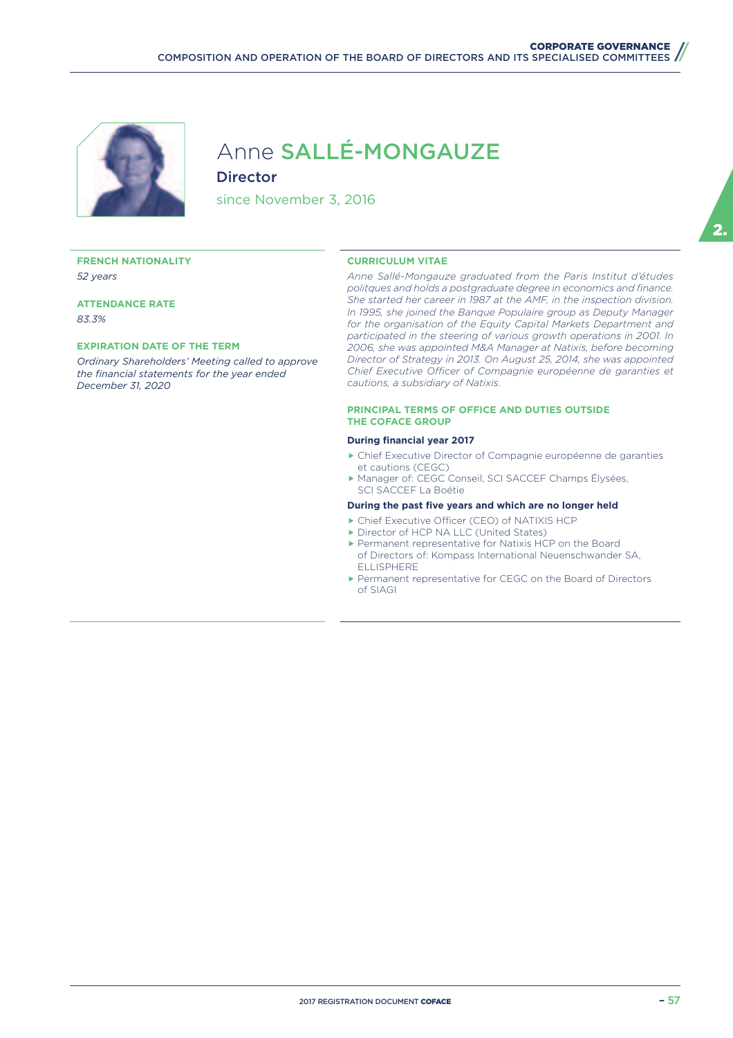

## Anne SALLÉ-MONGAUZE Director

since November 3, 2016

#### **FRENCH NATIONALITY** *52 years*

**ATTENDANCE RATE** *83.3%*

#### **EXPIRATION DATE OF THE TERM**

*Ordinary Shareholders' Meeting called to approve the financial statements for the year ended December 31, 2020*

#### **CURRICULUM VITAE**

*Anne Sallé-Mongauze graduated from the Paris Institut d'études politques and holds a postgraduate degree in economics and finance. She started her career in 1987 at the AMF, in the inspection division. In 1995, she joined the Banque Populaire group as Deputy Manager for the organisation of the Equity Capital Markets Department and participated in the steering of various growth operations in 2001. In 2006, she was appointed M&A Manager at Natixis, before becoming Director of Strategy in 2013. On August 25, 2014, she was appointed*  Chief Executive Officer of Compagnie européenne de garanties et *cautions, a subsidiary of Natixis.*

#### **PRINCIPAL TERMS OF OFFICE AND DUTIES OUTSIDE THE COFACE GROUP**

#### **During financial year 2017**

- f Chief Executive Director of Compagnie européenne de garanties et cautions (CEGC)
- ▶ Manager of: CEGC Conseil, SCI SACCEF Champs Élysées, SCI SACCEF La Boétie

- ▶ Chief Executive Officer (CEO) of NATIXIS HCP
- **Director of HCP NA LLC (United States)**
- **F** Permanent representative for Natixis HCP on the Board of Directors of: Kompass International Neuenschwander SA, ELLISPHERE
- **Permanent representative for CEGC on the Board of Directors** of SIAGI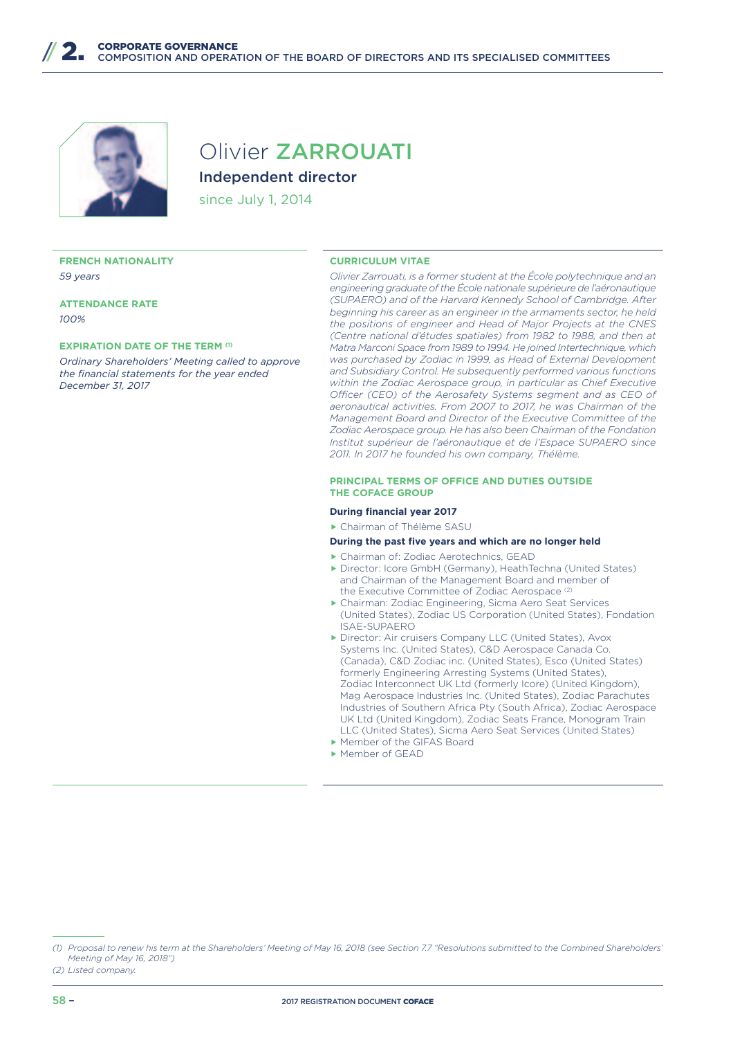

## Olivier ZARROUATI Independent director

since July 1, 2014

#### **FRENCH NATIONALITY** *59 years*

**ATTENDANCE RATE** *100%*

#### **EXPIRATION DATE OF THE TERM (1)**

*Ordinary Shareholders' Meeting called to approve the financial statements for the year ended December 31, 2017*

#### **CURRICULUM VITAE**

*Olivier Zarrouati, is a former student at the École polytechnique and an engineering graduate of the École nationale supérieure de l'aéronautique (SUPAERO) and of the Harvard Kennedy School of Cambridge. After beginning his career as an engineer in the armaments sector, he held the positions of engineer and Head of Major Projects at the CNES (Centre national d'études spatiales) from 1982 to 1988, and then at Matra Marconi Space from 1989 to 1994. He joined Intertechnique, which was purchased by Zodiac in 1999, as Head of External Development and Subsidiary Control. He subsequently performed various functions within the Zodiac Aerospace group, in particular as Chief Executive*  Officer (CEO) of the Aerosafety Systems segment and as CEO of *aeronautical activities. From 2007 to 2017, he was Chairman of the Management Board and Director of the Executive Committee of the Zodiac Aerospace group. He has also been Chairman of the Fondation Institut supérieur de l'aéronautique et de l'Espace SUPAERO since 2011. In 2017 he founded his own company, Thélème.*

#### **PRINCIPAL TERMS OF OFFICE AND DUTIES OUTSIDE THE COFACE GROUP**

#### **During financial year 2017**

▶ Chairman of Thélème SASU

- f Chairman of: Zodiac Aerotechnics, GEAD
- **Director: Icore GmbH (Germany), HeathTechna (United States)** and Chairman of the Management Board and member of the Executive Committee of Zodiac Aerospace (2)
- f Chairman: Zodiac Engineering, Sicma Aero Seat Services (United States), Zodiac US Corporation (United States), Fondation ISAE-SUPAERO
- **F** Director: Air cruisers Company LLC (United States), Avox Systems Inc. (United States), C&D Aerospace Canada Co. (Canada), C&D Zodiac inc. (United States), Esco (United States) formerly Engineering Arresting Systems (United States), Zodiac Interconnect UK Ltd (formerly Icore) (United Kingdom), Mag Aerospace Industries Inc. (United States), Zodiac Parachutes Industries of Southern Africa Pty (South Africa), Zodiac Aerospace UK Ltd (United Kingdom), Zodiac Seats France, Monogram Train LLC (United States), Sicma Aero Seat Services (United States) ▶ Member of the GIFAS Board
- Member of GEAD

*<sup>(1)</sup> Proposal to renew his term at the Shareholders' Meeting of May 16, 2018 (see Section 7.7 "Resolutions submitted to the Combined Shareholders' Meeting of May 16, 2018")*

*<sup>(2)</sup> Listed company.*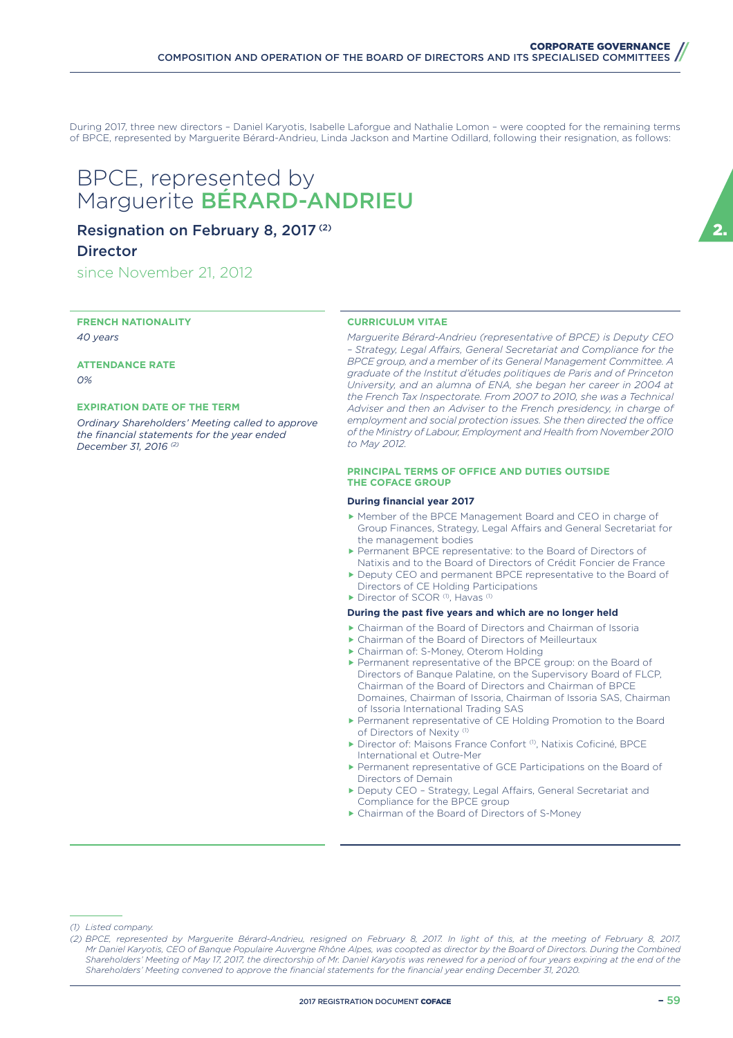During 2017, three new directors – Daniel Karyotis, Isabelle Laforgue and Nathalie Lomon – were coopted for the remaining terms of BPCE, represented by Marguerite Bérard-Andrieu, Linda Jackson and Martine Odillard, following their resignation, as follows:

## BPCE, represented by Marguerite BÉRARD-ANDRIEU

### Resignation on February 8, 2017 (2)

### **Director**

since November 21, 2012

**FRENCH NATIONALITY** *40 years*

**ATTENDANCE RATE** *0%*

#### **EXPIRATION DATE OF THE TERM**

*Ordinary Shareholders' Meeting called to approve the financial statements for the year ended December 31, 2016 (2)*

#### **CURRICULUM VITAE**

*Marguerite Bérard-Andrieu (representative of BPCE) is Deputy CEO*  - Strategy, Legal Affairs, General Secretariat and Compliance for the *BPCE group, and a member of its General Management Committee. A graduate of the Institut d'études politiques de Paris and of Princeton University, and an alumna of ENA, she began her career in 2004 at the French Tax Inspectorate. From 2007 to 2010, she was a Technical Adviser and then an Adviser to the French presidency, in charge of*  employment and social protection issues. She then directed the office *of the Ministry of Labour, Employment and Health from November 2010 to May 2012.*

#### **PRINCIPAL TERMS OF OFFICE AND DUTIES OUTSIDE THE COFACE GROUP**

#### **During financial year 2017**

- f Member of the BPCE Management Board and CEO in charge of Group Finances, Strategy, Legal Affairs and General Secretariat for the management bodies
- **Example 1** Permanent BPCE representative: to the Board of Directors of Natixis and to the Board of Directors of Crédit Foncier de France
- Deputy CEO and permanent BPCE representative to the Board of Directors of CE Holding Participations
- $\blacktriangleright$  Director of SCOR (1), Havas (1)

#### **During the past five years and which are no longer held**

- f Chairman of the Board of Directors and Chairman of Issoria
- $\blacktriangleright$  Chairman of the Board of Directors of Meilleurtaux
- ▶ Chairman of: S-Money, Oterom Holding
- **Permanent representative of the BPCE group: on the Board of** Directors of Banque Palatine, on the Supervisory Board of FLCP, Chairman of the Board of Directors and Chairman of BPCE Domaines, Chairman of Issoria, Chairman of Issoria SAS, Chairman of Issoria International Trading SAS
- Permanent representative of CE Holding Promotion to the Board of Directors of Nexity<sup>(1)</sup>
- **Director of: Maisons France Confort (1), Natixis Coficiné, BPCE** International et Outre-Mer
- Permanent representative of GCE Participations on the Board of Directors of Demain
- Deputy CEO Strategy, Legal Affairs, General Secretariat and Compliance for the BPCE group
- ▶ Chairman of the Board of Directors of S-Money

*(1) Listed company.*

*<sup>(2)</sup> BPCE, represented by Marguerite Bérard-Andrieu, resigned on February 8, 2017. In light of this, at the meeting of February 8, 2017, Mr Daniel Karyotis, CEO of Banque Populaire Auvergne Rhône Alpes, was coopted as director by the Board of Directors. During the Combined Shareholders' Meeting of May 17, 2017, the directorship of Mr. Daniel Karyotis was renewed for a period of four years expiring at the end of the Shareholders' Meeting convened to approve the financial statements for the financial year ending December 31, 2020.*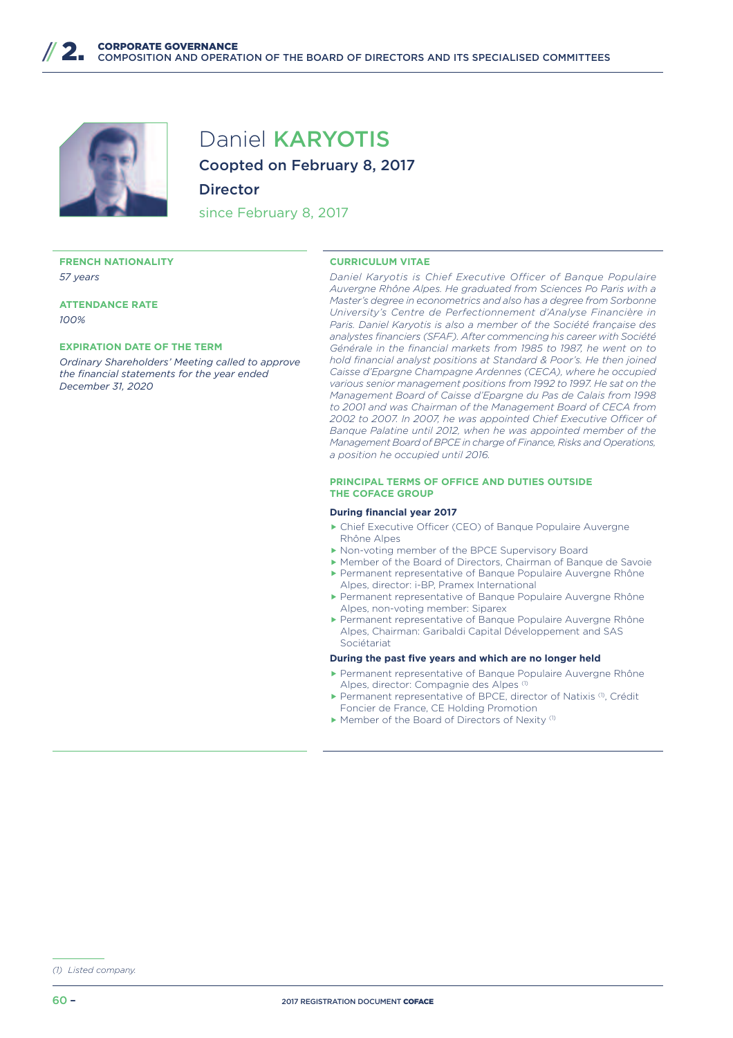

## Daniel KARYOTIS

Coopted on February 8, 2017

#### **Director**

since February 8, 2017

#### **FRENCH NATIONALITY** *57 years*

**ATTENDANCE RATE** *100%*

#### **EXPIRATION DATE OF THE TERM**

*Ordinary Shareholders' Meeting called to approve the financial statements for the year ended December 31, 2020*

#### **CURRICULUM VITAE**

*Daniel Karyotis is Chief Executive Officer of Banque Populaire Auvergne Rhône Alpes. He graduated from Sciences Po Paris with a Master's degree in econometrics and also has a degree from Sorbonne University's Centre de Perfectionnement d'Analyse Financière in Paris. Daniel Karyotis is also a member of the Société française des analystes financiers (SFAF). After commencing his career with Société Générale in the financial markets from 1985 to 1987, he went on to hold financial analyst positions at Standard & Poor's. He then joined Caisse d'Epargne Champagne Ardennes (CECA), where he occupied various senior management positions from 1992 to 1997. He sat on the Management Board of Caisse d'Epargne du Pas de Calais from 1998 to 2001 and was Chairman of the Management Board of CECA from*  2002 to 2007. In 2007, he was appointed Chief Executive Officer of *Banque Palatine until 2012, when he was appointed member of the Management Board of BPCE in charge of Finance, Risks and Operations, a position he occupied until 2016.*

#### **PRINCIPAL TERMS OF OFFICE AND DUTIES OUTSIDE THE COFACE GROUP**

#### **During financial year 2017**

- $\blacktriangleright$  Chief Executive Officer (CEO) of Banque Populaire Auvergne Rhône Alpes
- ▶ Non-voting member of the BPCE Supervisory Board
- f Member of the Board of Directors, Chairman of Banque de Savoie
- Permanent representative of Banque Populaire Auvergne Rhône Alpes, director: i-BP, Pramex International
- Permanent representative of Banque Populaire Auvergne Rhône Alpes, non-voting member: Siparex
- **Permanent representative of Banque Populaire Auvergne Rhône** Alpes, Chairman: Garibaldi Capital Développement and SAS Sociétariat

- **Permanent representative of Banque Populaire Auvergne Rhône** Alpes, director: Compagnie des Alpes (1)
- ▶ Permanent representative of BPCE, director of Natixis (1), Crédit Foncier de France, CE Holding Promotion
- $\blacktriangleright$  Member of the Board of Directors of Nexity (1)

*<sup>(1)</sup> Listed company.*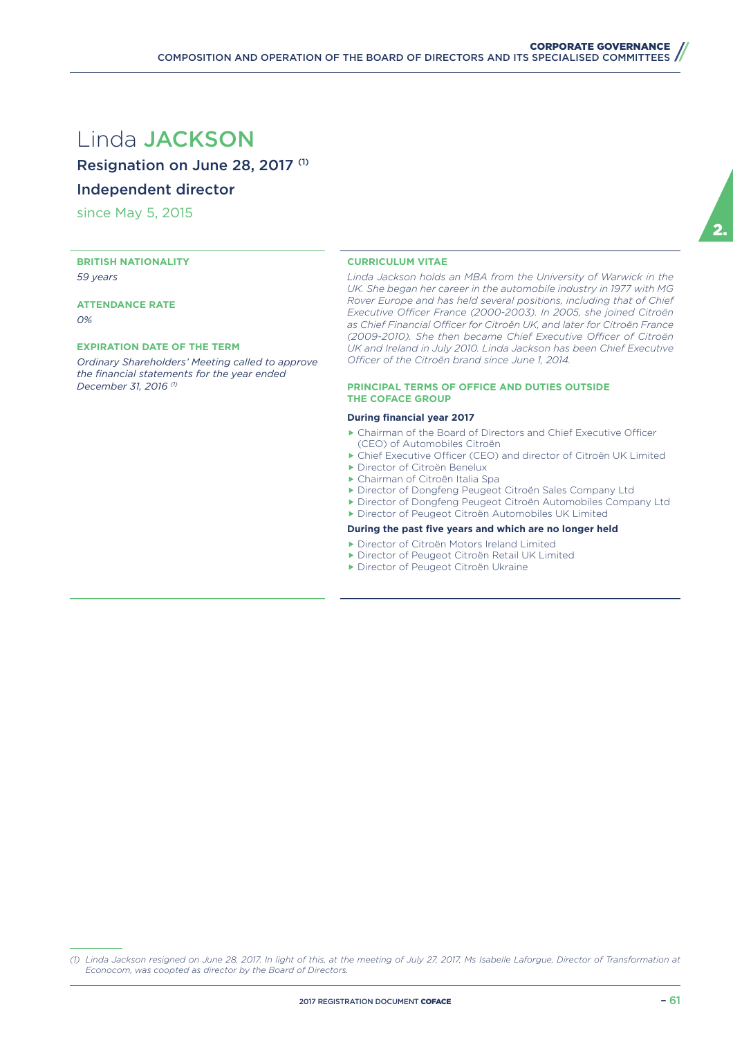## Linda JACKSON

Resignation on June 28, 2017 (1)

### Independent director

since May 5, 2015

**BRITISH NATIONALITY** *59 years*

**ATTENDANCE RATE** *0%*

#### **EXPIRATION DATE OF THE TERM**

*Ordinary Shareholders' Meeting called to approve the financial statements for the year ended December 31, 2016 (1)*

#### **CURRICULUM VITAE**

*Linda Jackson holds an MBA from the University of Warwick in the*  UK. She began her career in the automobile industry in 1977 with MG *Rover Europe and has held several positions, including that of Chief*  Executive Officer France (2000-2003). In 2005, she joined Citroën as Chief Financial Officer for Citroën UK, and later for Citroën France *(2009-2010). She then became Chief Executive Officer of Citroën UK and Ireland in July 2010. Linda Jackson has been Chief Executive*  Officer of the Citroën brand since June 1, 2014.

#### **PRINCIPAL TERMS OF OFFICE AND DUTIES OUTSIDE THE COFACE GROUP**

#### **During financial year 2017**

- $\blacktriangleright$  Chairman of the Board of Directors and Chief Executive Officer (CEO) of Automobiles Citroën
- $\triangleright$  Chief Executive Officer (CEO) and director of Citroën UK Limited
- ▶ Director of Citroën Benelux
- ▶ Chairman of Citroën Italia Spa
- f Director of Dongfeng Peugeot Citroën Sales Company Ltd
- f Director of Dongfeng Peugeot Citroën Automobiles Company Ltd **F** Director of Peugeot Citroën Automobiles UK Limited

#### **During the past five years and which are no longer held**

- **F** Director of Citroën Motors Ireland Limited
- **F** Director of Peugeot Citroën Retail UK Limited
- **F** Director of Peugeot Citroën Ukraine

2.

*<sup>(1)</sup> Linda Jackson resigned on June 28, 2017. In light of this, at the meeting of July 27, 2017, Ms Isabelle Laforgue, Director of Transformation at Econocom, was coopted as director by the Board of Directors.*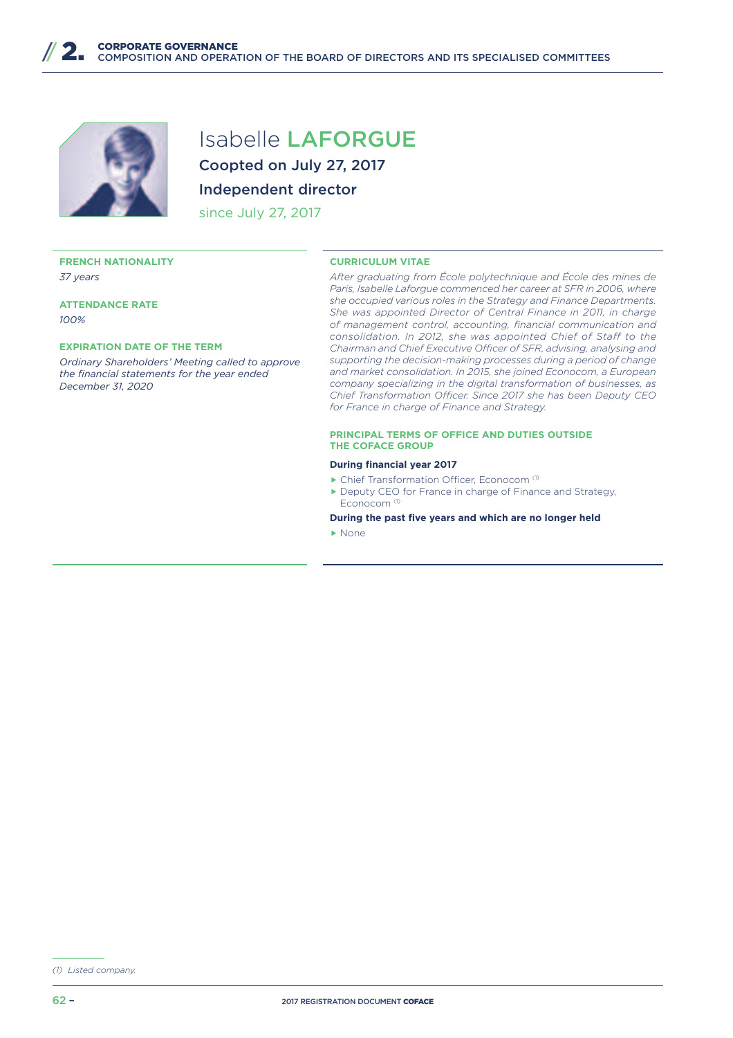

# Isabelle LAFORGUE Coopted on July 27, 2017

## Independent director

since July 27, 2017

#### **FRENCH NATIONALITY** *37 years*

**ATTENDANCE RATE** *100%*

#### **EXPIRATION DATE OF THE TERM**

*Ordinary Shareholders' Meeting called to approve the financial statements for the year ended December 31, 2020*

#### **CURRICULUM VITAE**

*After graduating from École polytechnique and École des mines de Paris, Isabelle Laforgue commenced her career at SFR in 2006, where she occupied various roles in the Strategy and Finance Departments. She was appointed Director of Central Finance in 2011, in charge of management control, accounting, financial communication and consolidation. In 2012, she was appointed Chief of Staff to the Chairman and Chief Executive Officer of SFR, advising, analysing and supporting the decision-making processes during a period of change and market consolidation. In 2015, she joined Econocom, a European company specializing in the digital transformation of businesses, as Chief Transformation Officer. Since 2017 she has been Deputy CEO for France in charge of Finance and Strategy.*

#### **PRINCIPAL TERMS OF OFFICE AND DUTIES OUTSIDE THE COFACE GROUP**

#### **During financial year 2017**

- $\blacktriangleright$  Chief Transformation Officer, Econocom (1)
- $\blacktriangleright$  Deputy CEO for France in charge of Finance and Strategy, Econocom (1)
- **During the past five years and which are no longer held**

 $\blacktriangleright$  None

*<sup>(1)</sup> Listed company.*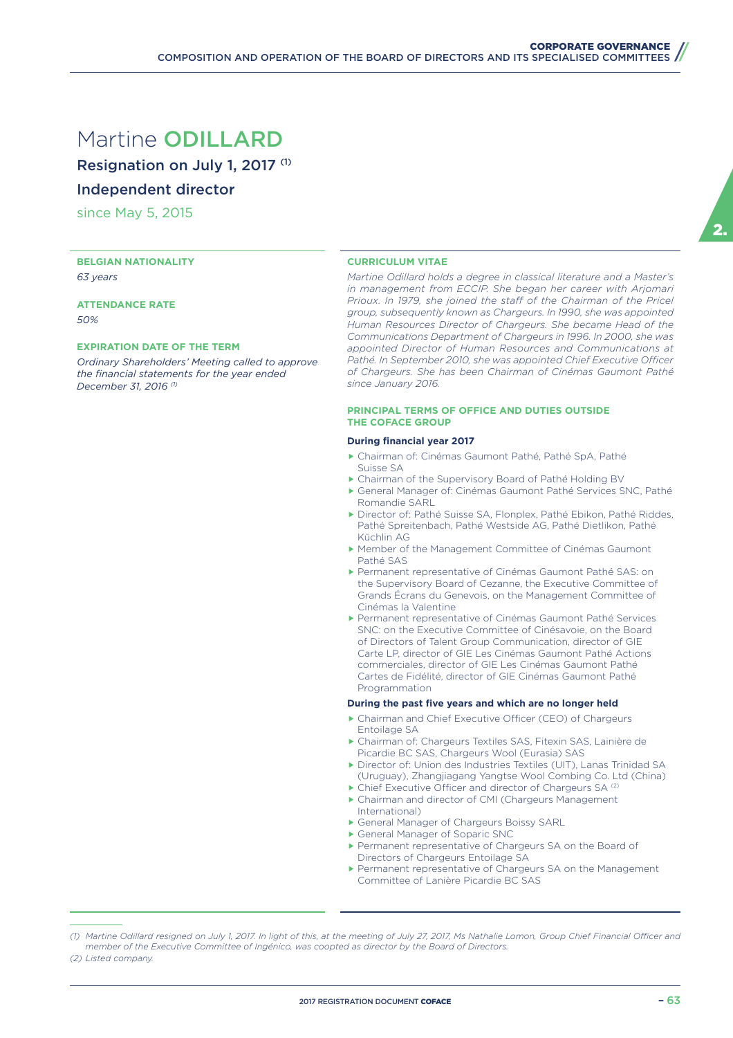## Martine ODILLARD

Resignation on July 1, 2017 (1)

Independent director

since May 5, 2015

**BELGIAN NATIONALITY** *63 years*

**ATTENDANCE RATE** *50%*

#### **EXPIRATION DATE OF THE TERM**

*Ordinary Shareholders' Meeting called to approve the financial statements for the year ended December 31, 2016 (1)*

#### **CURRICULUM VITAE**

*Martine Odillard holds a degree in classical literature and a Master's in management from ECCIP. She began her career with Arjomari*  Prioux. In 1979, she joined the staff of the Chairman of the Pricel *group, subsequently known as Chargeurs. In 1990, she was appointed Human Resources Director of Chargeurs. She became Head of the Communications Department of Chargeurs in 1996. In 2000, she was appointed Director of Human Resources and Communications at*  Pathé. In September 2010, she was appointed Chief Executive Officer *of Chargeurs. She has been Chairman of Cinémas Gaumont Pathé since January 2016.*

#### **PRINCIPAL TERMS OF OFFICE AND DUTIES OUTSIDE THE COFACE GROUP**

#### **During financial year 2017**

- f Chairman of: Cinémas Gaumont Pathé, Pathé SpA, Pathé Suisse SA
- $\blacktriangleright$  Chairman of the Supervisory Board of Pathé Holding BV
- General Manager of: Cinémas Gaumont Pathé Services SNC, Pathé Romandie SARL
- f Director of: Pathé Suisse SA, Flonplex, Pathé Ebikon, Pathé Riddes, Pathé Spreitenbach, Pathé Westside AG, Pathé Dietlikon, Pathé Küchlin AG
- ▶ Member of the Management Committee of Cinémas Gaumont Pathé SAS
- Permanent representative of Cinémas Gaumont Pathé SAS: on the Supervisory Board of Cezanne, the Executive Committee of Grands Écrans du Genevois, on the Management Committee of Cinémas la Valentine
- **Permanent representative of Cinémas Gaumont Pathé Services** SNC: on the Executive Committee of Cinésavoie, on the Board of Directors of Talent Group Communication, director of GIE Carte LP, director of GIE Les Cinémas Gaumont Pathé Actions commerciales, director of GIE Les Cinémas Gaumont Pathé Cartes de Fidélité, director of GIE Cinémas Gaumont Pathé Programmation

- $\triangleright$  Chairman and Chief Executive Officer (CEO) of Chargeurs Entoilage SA
- f Chairman of: Chargeurs Textiles SAS, Fitexin SAS, Lainière de Picardie BC SAS, Chargeurs Wool (Eurasia) SAS
- ▶ Director of: Union des Industries Textiles (UIT), Lanas Trinidad SA (Uruguay), Zhangjiagang Yangtse Wool Combing Co. Ltd (China)
- $\blacktriangleright$  Chief Executive Officer and director of Chargeurs SA (2)
- $\blacktriangleright$  Chairman and director of CMI (Chargeurs Management International)
- General Manager of Chargeurs Boissy SARL
- General Manager of Soparic SNC
- **Permanent representative of Chargeurs SA on the Board of** Directors of Chargeurs Entoilage SA
- **Permanent representative of Chargeurs SA on the Management** Committee of Lanière Picardie BC SAS

<sup>(1)</sup> Martine Odillard resigned on July 1, 2017. In light of this, at the meeting of July 27, 2017, Ms Nathalie Lomon, Group Chief Financial Officer and *member of the Executive Committee of Ingénico, was coopted as director by the Board of Directors. (2) Listed company.*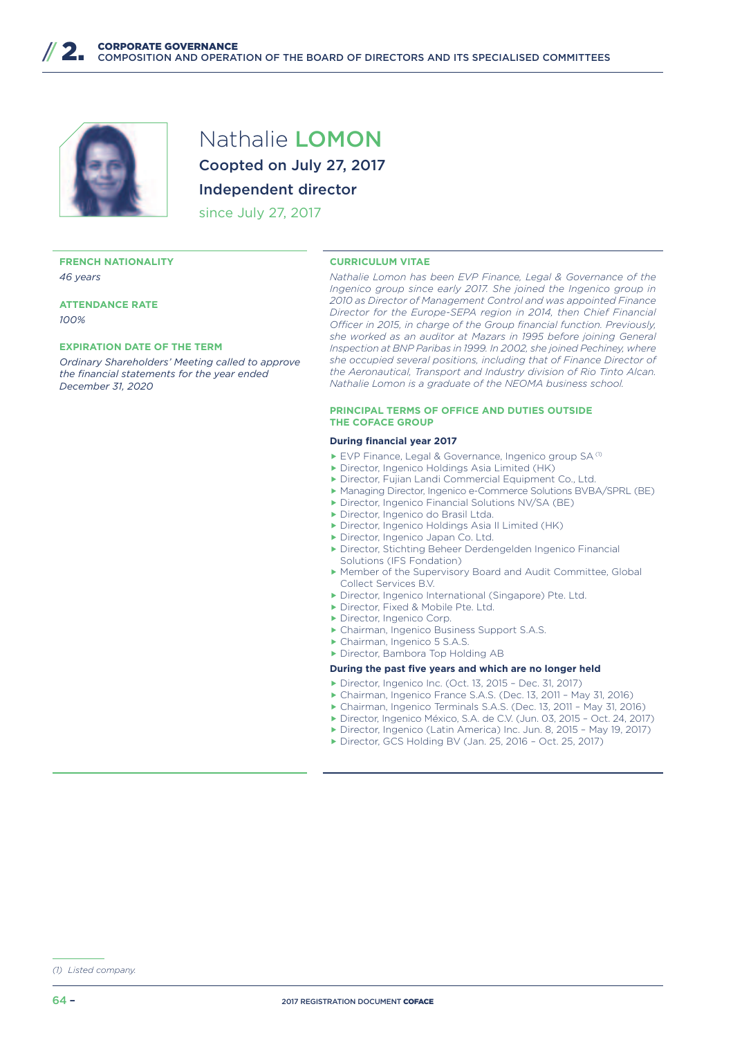

Nathalie LOMON Coopted on July 27, 2017 Independent director

since July 27, 2017

#### **FRENCH NATIONALITY** *46 years*

**ATTENDANCE RATE** *100%*

#### **EXPIRATION DATE OF THE TERM**

*Ordinary Shareholders' Meeting called to approve the financial statements for the year ended December 31, 2020*

#### **CURRICULUM VITAE**

*Nathalie Lomon has been EVP Finance, Legal & Governance of the Ingenico group since early 2017. She joined the Ingenico group in 2010 as Director of Management Control and was appointed Finance Director for the Europe-SEPA region in 2014, then Chief Financial Officer in 2015, in charge of the Group financial function. Previously, she worked as an auditor at Mazars in 1995 before joining General Inspection at BNP Paribas in 1999. In 2002, she joined Pechiney, where she occupied several positions, including that of Finance Director of the Aeronautical, Transport and Industry division of Rio Tinto Alcan. Nathalie Lomon is a graduate of the NEOMA business school.*

#### **PRINCIPAL TERMS OF OFFICE AND DUTIES OUTSIDE THE COFACE GROUP**

#### **During financial year 2017**

- $\blacktriangleright$  EVP Finance, Legal & Governance, Ingenico group SA (1)
- $\blacktriangleright$  Director, Ingenico Holdings Asia Limited (HK)
- **F** Director, Fujian Landi Commercial Equipment Co., Ltd.
- ▶ Managing Director, Ingenico e-Commerce Solutions BVBA/SPRL (BE)
- **Director, Ingenico Financial Solutions NV/SA (BE)**
- **Director, Ingenico do Brasil Ltda.**
- **Director, Ingenico Holdings Asia II Limited (HK)**
- **F** Director, Ingenico Japan Co. Ltd.
- **Director, Stichting Beheer Derdengelden Ingenico Financial** Solutions (IFS Fondation)
- f Member of the Supervisory Board and Audit Committee, Global Collect Services B.V.
- **Director, Ingenico International (Singapore) Pte. Ltd.**
- Director, Fixed & Mobile Pte. Ltd.
- **F** Director, Ingenico Corp.
- ▶ Chairman, Ingenico Business Support S.A.S.
- ▶ Chairman, Ingenico 5 S.A.S. **F** Director, Bambora Top Holding AB
- 

- ▶ Director, Ingenico Inc. (Oct. 13, 2015 Dec. 31, 2017)
- ▶ Chairman, Ingenico France S.A.S. (Dec. 13, 2011 May 31, 2016)
- f Chairman, Ingenico Terminals S.A.S. (Dec. 13, 2011 May 31, 2016)
- f Director, Ingenico México, S.A. de C.V. (Jun. 03, 2015 Oct. 24, 2017) ▶ Director, Ingenico (Latin America) Inc. Jun. 8, 2015 - May 19, 2017)
- ▶ Director, GCS Holding BV (Jan. 25, 2016 Oct. 25, 2017)

*<sup>(1)</sup> Listed company.*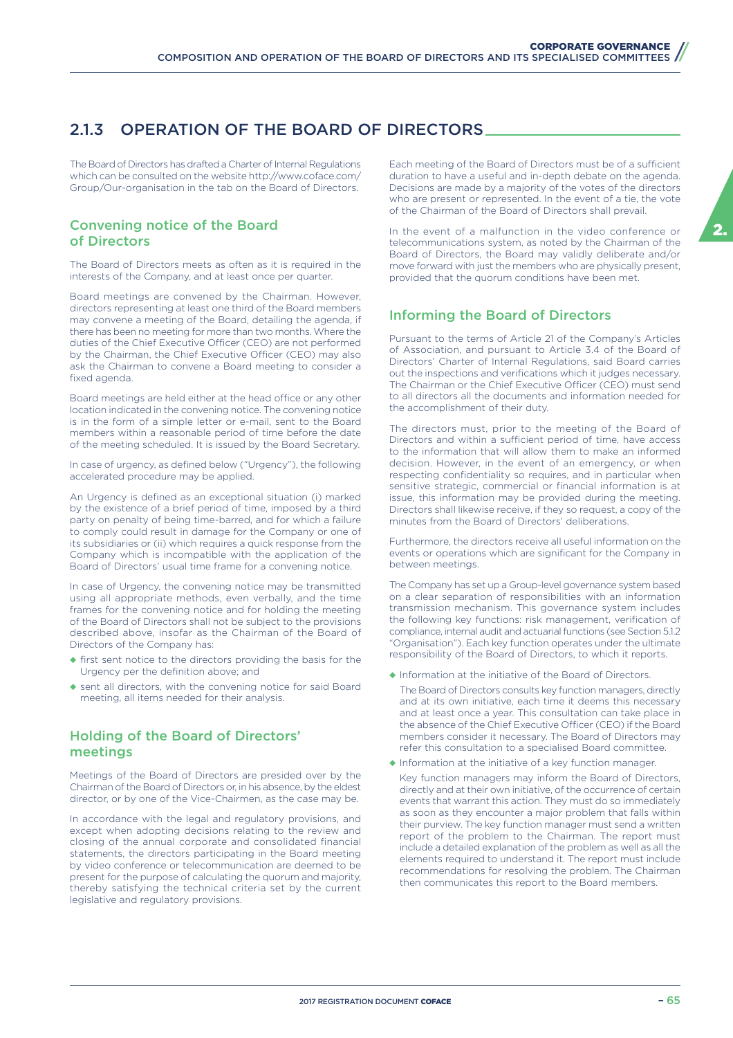## 2.1.3 OPERATION OF THE BOARD OF DIRECTORS

The Board of Directors has drafted a Charter of Internal Regulations which can be consulted on the website http://www.coface.com/ Group/Our-organisation in the tab on the Board of Directors.

### Convening notice of the Board of Directors

The Board of Directors meets as often as it is required in the interests of the Company, and at least once per quarter.

Board meetings are convened by the Chairman. However, directors representing at least one third of the Board members may convene a meeting of the Board, detailing the agenda, if there has been no meeting for more than two months. Where the duties of the Chief Executive Officer (CEO) are not performed by the Chairman, the Chief Executive Officer (CEO) may also ask the Chairman to convene a Board meeting to consider a fixed agenda.

Board meetings are held either at the head office or any other location indicated in the convening notice. The convening notice is in the form of a simple letter or e-mail, sent to the Board members within a reasonable period of time before the date of the meeting scheduled. It is issued by the Board Secretary.

In case of urgency, as defined below ("Urgency"), the following accelerated procedure may be applied.

An Urgency is defined as an exceptional situation (i) marked by the existence of a brief period of time, imposed by a third party on penalty of being time-barred, and for which a failure to comply could result in damage for the Company or one of its subsidiaries or (ii) which requires a quick response from the Company which is incompatible with the application of the Board of Directors' usual time frame for a convening notice.

In case of Urgency, the convening notice may be transmitted using all appropriate methods, even verbally, and the time frames for the convening notice and for holding the meeting of the Board of Directors shall not be subject to the provisions described above, insofar as the Chairman of the Board of Directors of the Company has:

- ◆ first sent notice to the directors providing the basis for the Urgency per the definition above; and
- ◆ sent all directors, with the convening notice for said Board meeting, all items needed for their analysis.

### Holding of the Board of Directors' meetings

Meetings of the Board of Directors are presided over by the Chairman of the Board of Directors or, in his absence, by the eldest director, or by one of the Vice-Chairmen, as the case may be.

In accordance with the legal and regulatory provisions, and except when adopting decisions relating to the review and closing of the annual corporate and consolidated financial statements, the directors participating in the Board meeting by video conference or telecommunication are deemed to be present for the purpose of calculating the quorum and majority, thereby satisfying the technical criteria set by the current legislative and regulatory provisions.

Each meeting of the Board of Directors must be of a sufficient duration to have a useful and in-depth debate on the agenda. Decisions are made by a majority of the votes of the directors who are present or represented. In the event of a tie, the vote of the Chairman of the Board of Directors shall prevail.

In the event of a malfunction in the video conference or telecommunications system, as noted by the Chairman of the Board of Directors, the Board may validly deliberate and/or move forward with just the members who are physically present, provided that the quorum conditions have been met.

### Informing the Board of Directors

Pursuant to the terms of Article 21 of the Company's Articles of Association, and pursuant to Article 3.4 of the Board of Directors' Charter of Internal Regulations, said Board carries out the inspections and verifications which it judges necessary. The Chairman or the Chief Executive Officer (CEO) must send to all directors all the documents and information needed for the accomplishment of their duty.

The directors must, prior to the meeting of the Board of Directors and within a sufficient period of time, have access to the information that will allow them to make an informed decision. However, in the event of an emergency, or when respecting confidentiality so requires, and in particular when sensitive strategic, commercial or financial information is at issue, this information may be provided during the meeting. Directors shall likewise receive, if they so request, a copy of the minutes from the Board of Directors' deliberations.

Furthermore, the directors receive all useful information on the events or operations which are significant for the Company in between meetings.

The Company has set up a Group-level governance system based on a clear separation of responsibilities with an information transmission mechanism. This governance system includes the following key functions: risk management, verification of compliance, internal audit and actuarial functions (see Section 5.1.2 "Organisation"). Each key function operates under the ultimate responsibility of the Board of Directors, to which it reports.

◆ Information at the initiative of the Board of Directors.

The Board of Directors consults key function managers, directly and at its own initiative, each time it deems this necessary and at least once a year. This consultation can take place in the absence of the Chief Executive Officer (CEO) if the Board members consider it necessary. The Board of Directors may refer this consultation to a specialised Board committee.

◆ Information at the initiative of a key function manager.

Key function managers may inform the Board of Directors, directly and at their own initiative, of the occurrence of certain events that warrant this action. They must do so immediately as soon as they encounter a major problem that falls within their purview. The key function manager must send a written report of the problem to the Chairman. The report must include a detailed explanation of the problem as well as all the elements required to understand it. The report must include recommendations for resolving the problem. The Chairman then communicates this report to the Board members.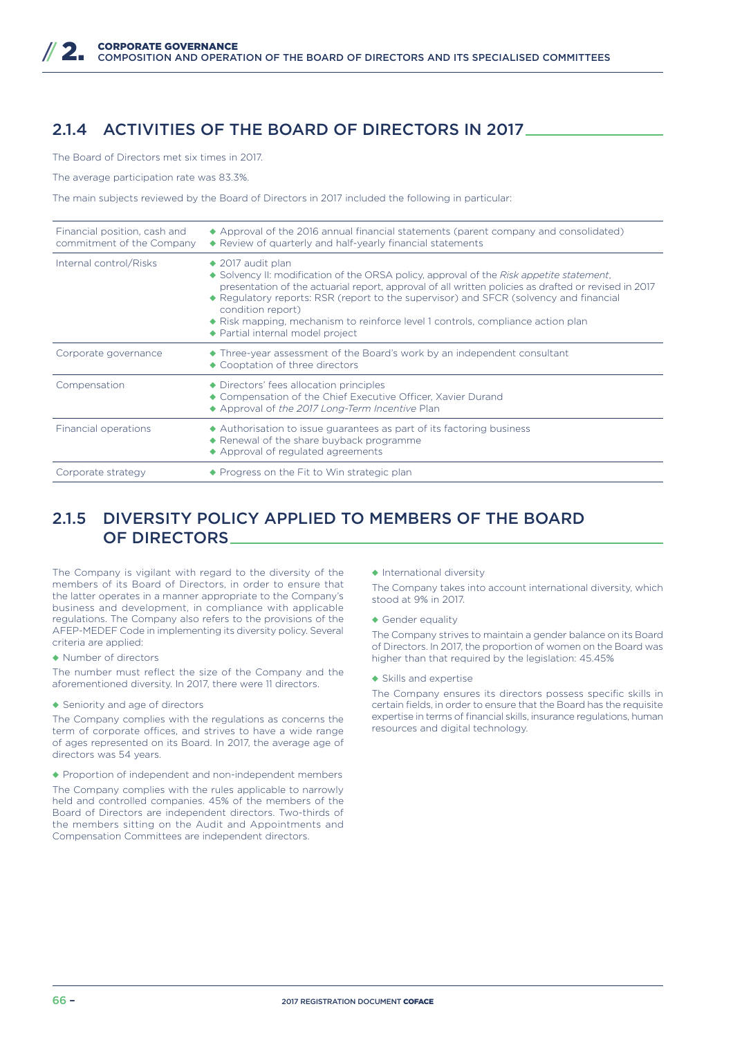## 2.1.4 ACTIVITIES OF THE BOARD OF DIRECTORS IN 2017

The Board of Directors met six times in 2017.

The average participation rate was 83.3%.

The main subjects reviewed by the Board of Directors in 2017 included the following in particular:

| Financial position, cash and<br>commitment of the Company | ◆ Approval of the 2016 annual financial statements (parent company and consolidated)<br>◆ Review of quarterly and half-yearly financial statements                                                                                                                                                                                                                                                                                                                                   |
|-----------------------------------------------------------|--------------------------------------------------------------------------------------------------------------------------------------------------------------------------------------------------------------------------------------------------------------------------------------------------------------------------------------------------------------------------------------------------------------------------------------------------------------------------------------|
| Internal control/Risks                                    | $\triangle$ 2017 audit plan<br>$\bullet$ Solvency II: modification of the ORSA policy, approval of the Risk appetite statement,<br>presentation of the actuarial report, approval of all written policies as drafted or revised in 2017<br>◆ Regulatory reports: RSR (report to the supervisor) and SFCR (solvency and financial<br>condition report)<br>$\bullet$ Risk mapping, mechanism to reinforce level 1 controls, compliance action plan<br>◆ Partial internal model project |
| Corporate governance                                      | • Three-year assessment of the Board's work by an independent consultant<br>◆ Cooptation of three directors                                                                                                                                                                                                                                                                                                                                                                          |
| Compensation                                              | • Directors' fees allocation principles<br>◆ Compensation of the Chief Executive Officer, Xavier Durand<br>Approval of the 2017 Long-Term Incentive Plan                                                                                                                                                                                                                                                                                                                             |
| Financial operations                                      | • Authorisation to issue quarantees as part of its factoring business<br>◆ Renewal of the share buyback programme<br>◆ Approval of regulated agreements                                                                                                                                                                                                                                                                                                                              |
| Corporate strategy                                        | ◆ Progress on the Fit to Win strategic plan                                                                                                                                                                                                                                                                                                                                                                                                                                          |

## 2.1.5 DIVERSITY POLICY APPLIED TO MEMBERS OF THE BOARD OF DIRECTORS

The Company is vigilant with regard to the diversity of the members of its Board of Directors, in order to ensure that the latter operates in a manner appropriate to the Company's business and development, in compliance with applicable regulations. The Company also refers to the provisions of the AFEP-MEDEF Code in implementing its diversity policy. Several criteria are applied:

◆ Number of directors

The number must reflect the size of the Company and the aforementioned diversity. In 2017, there were 11 directors.

◆ Seniority and age of directors

The Company complies with the regulations as concerns the term of corporate offices, and strives to have a wide range of ages represented on its Board. In 2017, the average age of directors was 54 years.

◆ Proportion of independent and non-independent members

The Company complies with the rules applicable to narrowly held and controlled companies. 45% of the members of the Board of Directors are independent directors. Two-thirds of the members sitting on the Audit and Appointments and Compensation Committees are independent directors.

◆ International diversity

The Company takes into account international diversity, which stood at 9% in 2017.

◆ Gender equality

The Company strives to maintain a gender balance on its Board of Directors. In 2017, the proportion of women on the Board was higher than that required by the legislation: 45.45%

◆ Skills and expertise

The Company ensures its directors possess specific skills in certain fields, in order to ensure that the Board has the requisite expertise in terms of financial skills, insurance regulations, human resources and digital technology.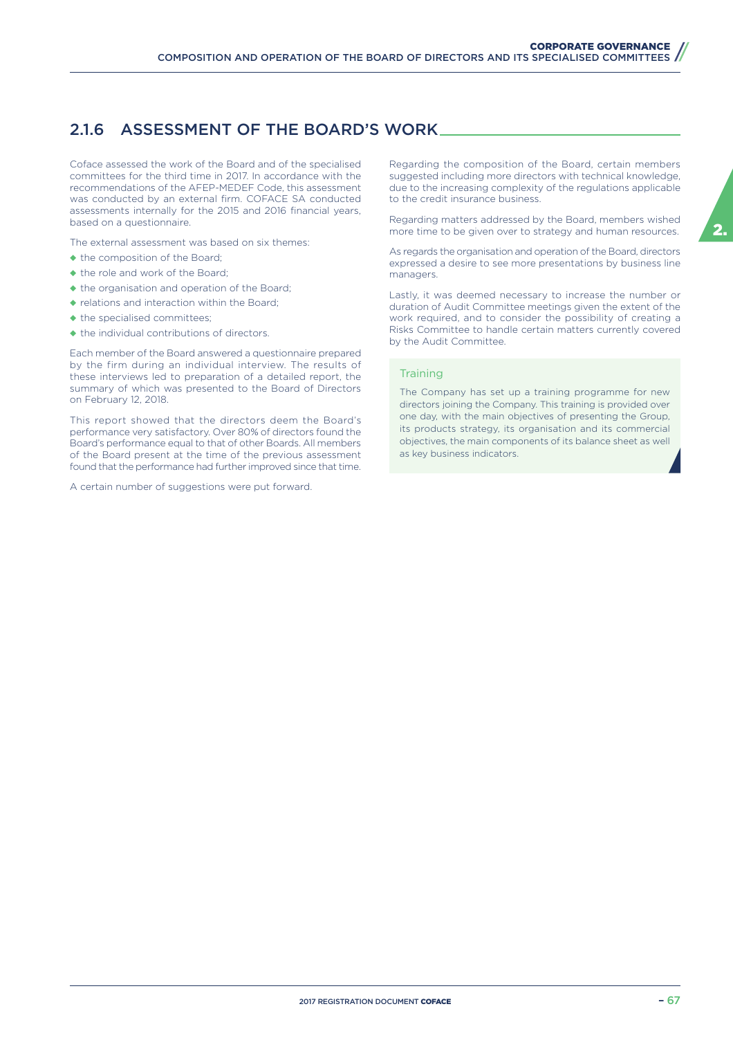## 2.1.6 ASSESSMENT OF THE BOARD'S WORK

Coface assessed the work of the Board and of the specialised committees for the third time in 2017. In accordance with the recommendations of the AFEP-MEDEF Code, this assessment was conducted by an external firm. COFACE SA conducted assessments internally for the 2015 and 2016 financial years, based on a questionnaire.

The external assessment was based on six themes:

- ◆ the composition of the Board;
- ◆ the role and work of the Board;
- ◆ the organisation and operation of the Board;
- ◆ relations and interaction within the Board;
- ◆ the specialised committees;
- ◆ the individual contributions of directors.

Each member of the Board answered a questionnaire prepared by the firm during an individual interview. The results of these interviews led to preparation of a detailed report, the summary of which was presented to the Board of Directors on February 12, 2018.

This report showed that the directors deem the Board's performance very satisfactory. Over 80% of directors found the Board's performance equal to that of other Boards. All members of the Board present at the time of the previous assessment found that the performance had further improved since that time.

A certain number of suggestions were put forward.

Regarding the composition of the Board, certain members suggested including more directors with technical knowledge, due to the increasing complexity of the regulations applicable to the credit insurance business.

Regarding matters addressed by the Board, members wished more time to be given over to strategy and human resources.

As regards the organisation and operation of the Board, directors expressed a desire to see more presentations by business line managers.

Lastly, it was deemed necessary to increase the number or duration of Audit Committee meetings given the extent of the work required, and to consider the possibility of creating a Risks Committee to handle certain matters currently covered by the Audit Committee.

#### **Training**

The Company has set up a training programme for new directors joining the Company. This training is provided over one day, with the main objectives of presenting the Group, its products strategy, its organisation and its commercial objectives, the main components of its balance sheet as well as key business indicators.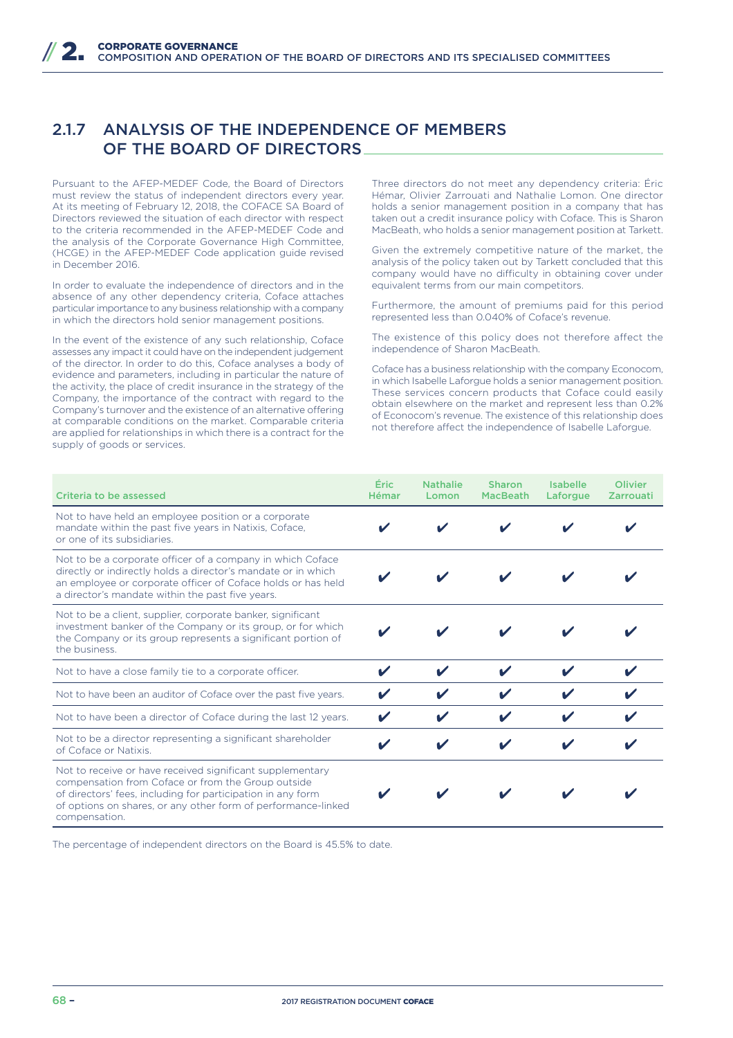## 2.1.7 ANALYSIS OF THE INDEPENDENCE OF MEMBERS OF THE BOARD OF DIRECTORS

Pursuant to the AFEP-MEDEF Code, the Board of Directors must review the status of independent directors every year. At its meeting of February 12, 2018, the COFACE SA Board of Directors reviewed the situation of each director with respect to the criteria recommended in the AFEP-MEDEF Code and the analysis of the Corporate Governance High Committee, (HCGE) in the AFEP-MEDEF Code application guide revised in December 2016.

In order to evaluate the independence of directors and in the absence of any other dependency criteria, Coface attaches particular importance to any business relationship with a company in which the directors hold senior management positions.

In the event of the existence of any such relationship, Coface assesses any impact it could have on the independent judgement of the director. In order to do this, Coface analyses a body of evidence and parameters, including in particular the nature of the activity, the place of credit insurance in the strategy of the Company, the importance of the contract with regard to the Company's turnover and the existence of an alternative offering at comparable conditions on the market. Comparable criteria are applied for relationships in which there is a contract for the supply of goods or services.

Three directors do not meet any dependency criteria: Éric Hémar, Olivier Zarrouati and Nathalie Lomon. One director holds a senior management position in a company that has taken out a credit insurance policy with Coface. This is Sharon MacBeath, who holds a senior management position at Tarkett.

Given the extremely competitive nature of the market, the analysis of the policy taken out by Tarkett concluded that this company would have no difficulty in obtaining cover under equivalent terms from our main competitors.

Furthermore, the amount of premiums paid for this period represented less than 0.040% of Coface's revenue.

The existence of this policy does not therefore affect the independence of Sharon MacBeath.

Coface has a business relationship with the company Econocom, in which Isabelle Laforgue holds a senior management position. These services concern products that Coface could easily obtain elsewhere on the market and represent less than 0.2% of Econocom's revenue. The existence of this relationship does not therefore affect the independence of Isabelle Laforgue.

| Criteria to be assessed                                                                                                                                                                                                                                          | Éric<br>Hémar | <b>Nathalie</b><br>Lomon | <b>Sharon</b><br><b>MacBeath</b> | <b>Isabelle</b><br>Laforgue | <b>Olivier</b><br><b>Zarrouati</b> |
|------------------------------------------------------------------------------------------------------------------------------------------------------------------------------------------------------------------------------------------------------------------|---------------|--------------------------|----------------------------------|-----------------------------|------------------------------------|
| Not to have held an employee position or a corporate<br>mandate within the past five years in Natixis, Coface,<br>or one of its subsidiaries.                                                                                                                    |               |                          |                                  |                             |                                    |
| Not to be a corporate officer of a company in which Coface<br>directly or indirectly holds a director's mandate or in which<br>an employee or corporate officer of Coface holds or has held<br>a director's mandate within the past five years.                  |               |                          |                                  |                             |                                    |
| Not to be a client, supplier, corporate banker, significant<br>investment banker of the Company or its group, or for which<br>the Company or its group represents a significant portion of<br>the business.                                                      |               |                          |                                  |                             |                                    |
| Not to have a close family tie to a corporate officer.                                                                                                                                                                                                           | V             |                          |                                  |                             |                                    |
| Not to have been an auditor of Coface over the past five years.                                                                                                                                                                                                  |               |                          |                                  |                             |                                    |
| Not to have been a director of Coface during the last 12 years.                                                                                                                                                                                                  |               |                          |                                  |                             |                                    |
| Not to be a director representing a significant shareholder<br>of Coface or Natixis.                                                                                                                                                                             |               |                          |                                  |                             |                                    |
| Not to receive or have received significant supplementary<br>compensation from Coface or from the Group outside<br>of directors' fees, including for participation in any form<br>of options on shares, or any other form of performance-linked<br>compensation. |               |                          |                                  |                             |                                    |

The percentage of independent directors on the Board is 45.5% to date.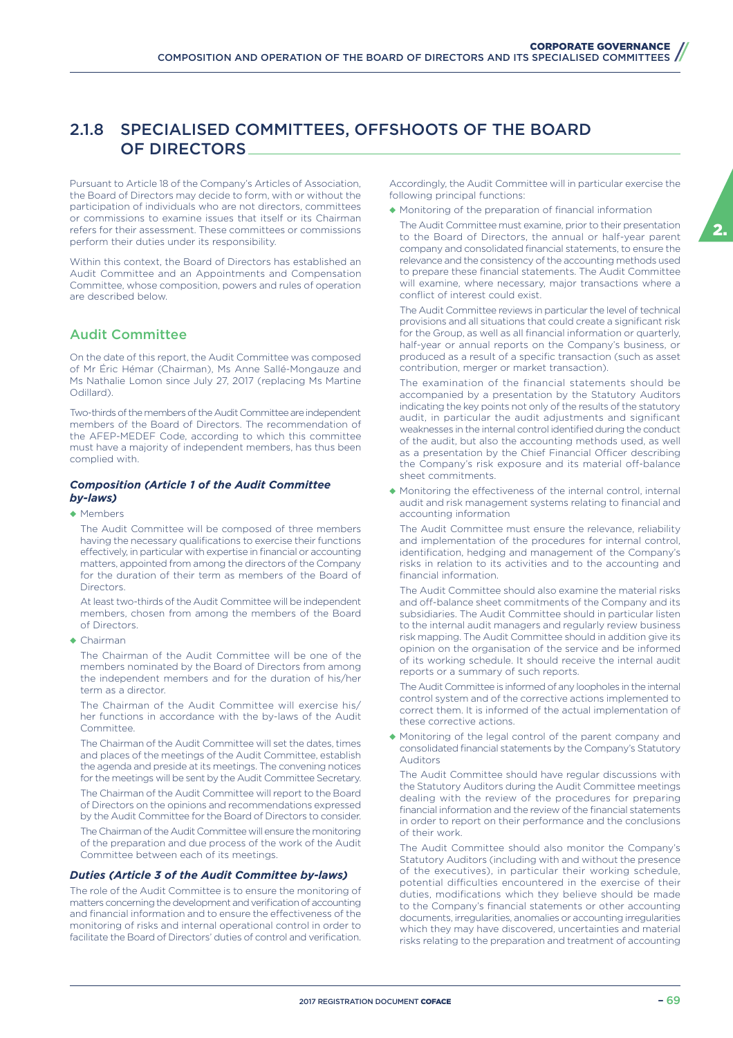## 2.1.8 SPECIALISED COMMITTEES, OFFSHOOTS OF THE BOARD OF DIRECTORS

Pursuant to Article 18 of the Company's Articles of Association, the Board of Directors may decide to form, with or without the participation of individuals who are not directors, committees or commissions to examine issues that itself or its Chairman refers for their assessment. These committees or commissions perform their duties under its responsibility.

Within this context, the Board of Directors has established an Audit Committee and an Appointments and Compensation Committee, whose composition, powers and rules of operation are described below.

### Audit Committee

On the date of this report, the Audit Committee was composed of Mr Éric Hémar (Chairman), Ms Anne Sallé-Mongauze and Ms Nathalie Lomon since July 27, 2017 (replacing Ms Martine Odillard).

Two-thirds of the members of the Audit Committee are independent members of the Board of Directors. The recommendation of the AFEP-MEDEF Code, according to which this committee must have a majority of independent members, has thus been complied with.

#### *Composition (Article 1 of the Audit Committee by-laws)*

◆ Members

The Audit Committee will be composed of three members having the necessary qualifications to exercise their functions effectively, in particular with expertise in financial or accounting matters, appointed from among the directors of the Company for the duration of their term as members of the Board of **Directors** 

At least two-thirds of the Audit Committee will be independent members, chosen from among the members of the Board of Directors.

◆ Chairman

The Chairman of the Audit Committee will be one of the members nominated by the Board of Directors from among the independent members and for the duration of his/her term as a director.

The Chairman of the Audit Committee will exercise his/ her functions in accordance with the by-laws of the Audit Committee.

The Chairman of the Audit Committee will set the dates, times and places of the meetings of the Audit Committee, establish the agenda and preside at its meetings. The convening notices for the meetings will be sent by the Audit Committee Secretary.

The Chairman of the Audit Committee will report to the Board of Directors on the opinions and recommendations expressed by the Audit Committee for the Board of Directors to consider.

The Chairman of the Audit Committee will ensure the monitoring of the preparation and due process of the work of the Audit Committee between each of its meetings.

#### *Duties (Article 3 of the Audit Committee by-laws)*

The role of the Audit Committee is to ensure the monitoring of matters concerning the development and verification of accounting and financial information and to ensure the effectiveness of the monitoring of risks and internal operational control in order to facilitate the Board of Directors' duties of control and verification.

Accordingly, the Audit Committee will in particular exercise the following principal functions:

- ◆ Monitoring of the preparation of financial information
- The Audit Committee must examine, prior to their presentation to the Board of Directors, the annual or half-year parent company and consolidated financial statements, to ensure the relevance and the consistency of the accounting methods used to prepare these financial statements. The Audit Committee will examine, where necessary, major transactions where a conflict of interest could exist.

The Audit Committee reviews in particular the level of technical provisions and all situations that could create a significant risk for the Group, as well as all financial information or quarterly, half-year or annual reports on the Company's business, or produced as a result of a specific transaction (such as asset contribution, merger or market transaction).

The examination of the financial statements should be accompanied by a presentation by the Statutory Auditors indicating the key points not only of the results of the statutory audit, in particular the audit adjustments and significant weaknesses in the internal control identified during the conduct of the audit, but also the accounting methods used, as well as a presentation by the Chief Financial Officer describing the Company's risk exposure and its material off-balance sheet commitments.

◆ Monitoring the effectiveness of the internal control, internal audit and risk management systems relating to financial and accounting information

The Audit Committee must ensure the relevance, reliability and implementation of the procedures for internal control, identification, hedging and management of the Company's risks in relation to its activities and to the accounting and financial information.

The Audit Committee should also examine the material risks and off-balance sheet commitments of the Company and its subsidiaries. The Audit Committee should in particular listen to the internal audit managers and regularly review business risk mapping. The Audit Committee should in addition give its opinion on the organisation of the service and be informed of its working schedule. It should receive the internal audit reports or a summary of such reports.

The Audit Committee is informed of any loopholes in the internal control system and of the corrective actions implemented to correct them. It is informed of the actual implementation of these corrective actions.

◆ Monitoring of the legal control of the parent company and consolidated financial statements by the Company's Statutory Auditors

The Audit Committee should have regular discussions with the Statutory Auditors during the Audit Committee meetings dealing with the review of the procedures for preparing financial information and the review of the financial statements in order to report on their performance and the conclusions of their work.

The Audit Committee should also monitor the Company's Statutory Auditors (including with and without the presence of the executives), in particular their working schedule, potential difficulties encountered in the exercise of their duties, modifications which they believe should be made to the Company's financial statements or other accounting documents, irregularities, anomalies or accounting irregularities which they may have discovered, uncertainties and material risks relating to the preparation and treatment of accounting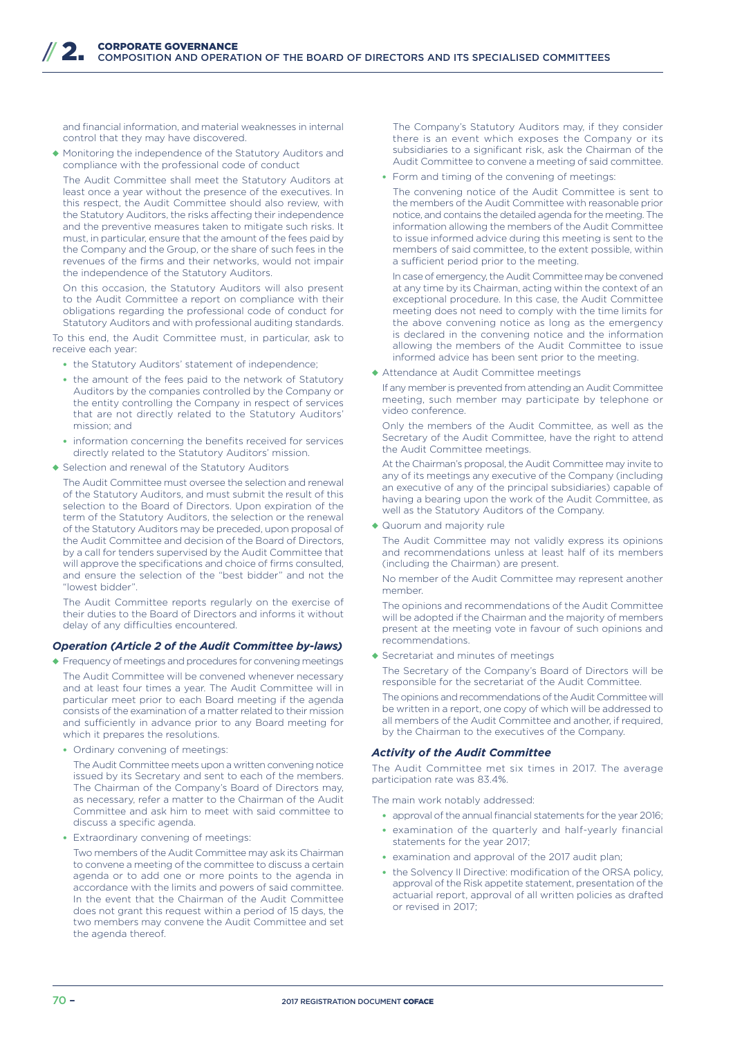and financial information, and material weaknesses in internal control that they may have discovered.

◆ Monitoring the independence of the Statutory Auditors and compliance with the professional code of conduct

The Audit Committee shall meet the Statutory Auditors at least once a year without the presence of the executives. In this respect, the Audit Committee should also review, with the Statutory Auditors, the risks affecting their independence and the preventive measures taken to mitigate such risks. It must, in particular, ensure that the amount of the fees paid by the Company and the Group, or the share of such fees in the revenues of the firms and their networks, would not impair the independence of the Statutory Auditors.

On this occasion, the Statutory Auditors will also present to the Audit Committee a report on compliance with their obligations regarding the professional code of conduct for Statutory Auditors and with professional auditing standards.

To this end, the Audit Committee must, in particular, ask to receive each year:

- the Statutory Auditors' statement of independence;
- the amount of the fees paid to the network of Statutory Auditors by the companies controlled by the Company or the entity controlling the Company in respect of services that are not directly related to the Statutory Auditors' mission; and
- information concerning the benefits received for services directly related to the Statutory Auditors' mission.
- ◆ Selection and renewal of the Statutory Auditors

The Audit Committee must oversee the selection and renewal of the Statutory Auditors, and must submit the result of this selection to the Board of Directors. Upon expiration of the term of the Statutory Auditors, the selection or the renewal of the Statutory Auditors may be preceded, upon proposal of the Audit Committee and decision of the Board of Directors, by a call for tenders supervised by the Audit Committee that will approve the specifications and choice of firms consulted, and ensure the selection of the "best bidder" and not the "lowest bidder".

The Audit Committee reports regularly on the exercise of their duties to the Board of Directors and informs it without delay of any difficulties encountered.

#### *Operation (Article 2 of the Audit Committee by-laws)*

◆ Frequency of meetings and procedures for convening meetings

The Audit Committee will be convened whenever necessary and at least four times a year. The Audit Committee will in particular meet prior to each Board meeting if the agenda consists of the examination of a matter related to their mission and sufficiently in advance prior to any Board meeting for which it prepares the resolutions.

• Ordinary convening of meetings:

The Audit Committee meets upon a written convening notice issued by its Secretary and sent to each of the members. The Chairman of the Company's Board of Directors may, as necessary, refer a matter to the Chairman of the Audit Committee and ask him to meet with said committee to discuss a specific agenda.

• Extraordinary convening of meetings:

Two members of the Audit Committee may ask its Chairman to convene a meeting of the committee to discuss a certain agenda or to add one or more points to the agenda in accordance with the limits and powers of said committee. In the event that the Chairman of the Audit Committee does not grant this request within a period of 15 days, the two members may convene the Audit Committee and set the agenda thereof.

The Company's Statutory Auditors may, if they consider there is an event which exposes the Company or its subsidiaries to a significant risk, ask the Chairman of the Audit Committee to convene a meeting of said committee.

- Form and timing of the convening of meetings:
- The convening notice of the Audit Committee is sent to the members of the Audit Committee with reasonable prior notice, and contains the detailed agenda for the meeting. The information allowing the members of the Audit Committee to issue informed advice during this meeting is sent to the members of said committee, to the extent possible, within a sufficient period prior to the meeting.

In case of emergency, the Audit Committee may be convened at any time by its Chairman, acting within the context of an exceptional procedure. In this case, the Audit Committee meeting does not need to comply with the time limits for the above convening notice as long as the emergency is declared in the convening notice and the information allowing the members of the Audit Committee to issue informed advice has been sent prior to the meeting.

◆ Attendance at Audit Committee meetings

If any member is prevented from attending an Audit Committee meeting, such member may participate by telephone or video conference.

Only the members of the Audit Committee, as well as the Secretary of the Audit Committee, have the right to attend the Audit Committee meetings.

At the Chairman's proposal, the Audit Committee may invite to any of its meetings any executive of the Company (including an executive of any of the principal subsidiaries) capable of having a bearing upon the work of the Audit Committee, as well as the Statutory Auditors of the Company.

◆ Quorum and majority rule

The Audit Committee may not validly express its opinions and recommendations unless at least half of its members (including the Chairman) are present.

No member of the Audit Committee may represent another member.

The opinions and recommendations of the Audit Committee will be adopted if the Chairman and the majority of members present at the meeting vote in favour of such opinions and recommendations.

◆ Secretariat and minutes of meetings

The Secretary of the Company's Board of Directors will be responsible for the secretariat of the Audit Committee.

The opinions and recommendations of the Audit Committee will be written in a report, one copy of which will be addressed to all members of the Audit Committee and another, if required, by the Chairman to the executives of the Company.

#### *Activity of the Audit Committee*

The Audit Committee met six times in 2017. The average participation rate was 83.4%.

The main work notably addressed:

- approval of the annual financial statements for the year 2016;
- examination of the quarterly and half-yearly financial statements for the year 2017;
- examination and approval of the 2017 audit plan;
- the Solvency II Directive: modification of the ORSA policy, approval of the Risk appetite statement, presentation of the actuarial report, approval of all written policies as drafted or revised in 2017;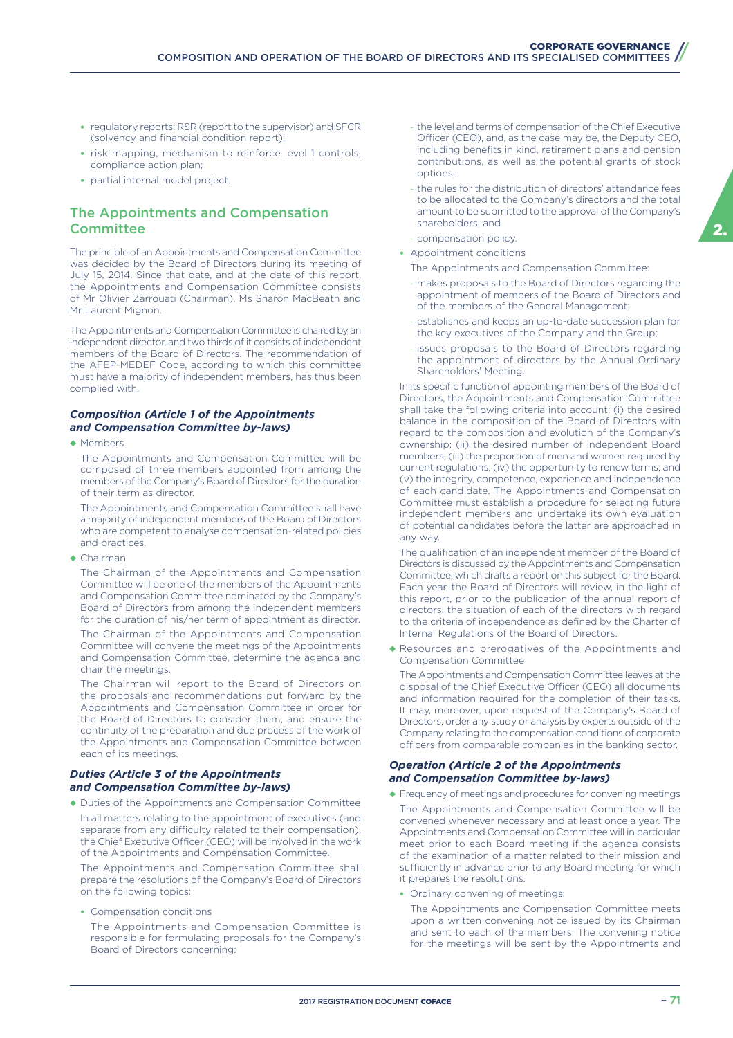- regulatory reports: RSR (report to the supervisor) and SFCR (solvency and financial condition report);
- risk mapping, mechanism to reinforce level 1 controls, compliance action plan;
- partial internal model project.

### The Appointments and Compensation **Committee**

The principle of an Appointments and Compensation Committee was decided by the Board of Directors during its meeting of July 15, 2014. Since that date, and at the date of this report, the Appointments and Compensation Committee consists of Mr Olivier Zarrouati (Chairman), Ms Sharon MacBeath and Mr Laurent Mignon.

The Appointments and Compensation Committee is chaired by an independent director, and two thirds of it consists of independent members of the Board of Directors. The recommendation of the AFEP-MEDEF Code, according to which this committee must have a majority of independent members, has thus been complied with.

#### *Composition (Article 1 of the Appointments and Compensation Committee by-laws)*

◆ Members

The Appointments and Compensation Committee will be composed of three members appointed from among the members of the Company's Board of Directors for the duration of their term as director.

The Appointments and Compensation Committee shall have a majority of independent members of the Board of Directors who are competent to analyse compensation-related policies and practices.

◆ Chairman

The Chairman of the Appointments and Compensation Committee will be one of the members of the Appointments and Compensation Committee nominated by the Company's Board of Directors from among the independent members for the duration of his/her term of appointment as director.

The Chairman of the Appointments and Compensation Committee will convene the meetings of the Appointments and Compensation Committee, determine the agenda and chair the meetings.

The Chairman will report to the Board of Directors on the proposals and recommendations put forward by the Appointments and Compensation Committee in order for the Board of Directors to consider them, and ensure the continuity of the preparation and due process of the work of the Appointments and Compensation Committee between each of its meetings.

#### *Duties (Article 3 of the Appointments and Compensation Committee by-laws)*

◆ Duties of the Appointments and Compensation Committee In all matters relating to the appointment of executives (and separate from any difficulty related to their compensation), the Chief Executive Officer (CEO) will be involved in the work of the Appointments and Compensation Committee.

The Appointments and Compensation Committee shall prepare the resolutions of the Company's Board of Directors on the following topics:

• Compensation conditions

The Appointments and Compensation Committee is responsible for formulating proposals for the Company's Board of Directors concerning:

- the level and terms of compensation of the Chief Executive Officer (CEO), and, as the case may be, the Deputy CEO, including benefits in kind, retirement plans and pension contributions, as well as the potential grants of stock options;
- the rules for the distribution of directors' attendance fees to be allocated to the Company's directors and the total amount to be submitted to the approval of the Company's shareholders; and
- compensation policy. • Appointment conditions
	- The Appointments and Compensation Committee:
	- makes proposals to the Board of Directors regarding the appointment of members of the Board of Directors and of the members of the General Management;
	- establishes and keeps an up-to-date succession plan for the key executives of the Company and the Group;
	- issues proposals to the Board of Directors regarding the appointment of directors by the Annual Ordinary Shareholders' Meeting.

In its specific function of appointing members of the Board of Directors, the Appointments and Compensation Committee shall take the following criteria into account: (i) the desired balance in the composition of the Board of Directors with regard to the composition and evolution of the Company's ownership; (ii) the desired number of independent Board members; (iii) the proportion of men and women required by current regulations; (iv) the opportunity to renew terms; and (v) the integrity, competence, experience and independence of each candidate. The Appointments and Compensation Committee must establish a procedure for selecting future independent members and undertake its own evaluation of potential candidates before the latter are approached in any way.

The qualification of an independent member of the Board of Directors is discussed by the Appointments and Compensation Committee, which drafts a report on this subject for the Board. Each year, the Board of Directors will review, in the light of this report, prior to the publication of the annual report of directors, the situation of each of the directors with regard to the criteria of independence as defined by the Charter of Internal Regulations of the Board of Directors.

◆ Resources and prerogatives of the Appointments and Compensation Committee

The Appointments and Compensation Committee leaves at the disposal of the Chief Executive Officer (CEO) all documents and information required for the completion of their tasks. It may, moreover, upon request of the Company's Board of Directors, order any study or analysis by experts outside of the Company relating to the compensation conditions of corporate officers from comparable companies in the banking sector.

#### *Operation (Article 2 of the Appointments and Compensation Committee by-laws)*

- ◆ Frequency of meetings and procedures for convening meetings The Appointments and Compensation Committee will be convened whenever necessary and at least once a year. The Appointments and Compensation Committee will in particular meet prior to each Board meeting if the agenda consists of the examination of a matter related to their mission and sufficiently in advance prior to any Board meeting for which it prepares the resolutions.
	- Ordinary convening of meetings:

The Appointments and Compensation Committee meets upon a written convening notice issued by its Chairman and sent to each of the members. The convening notice for the meetings will be sent by the Appointments and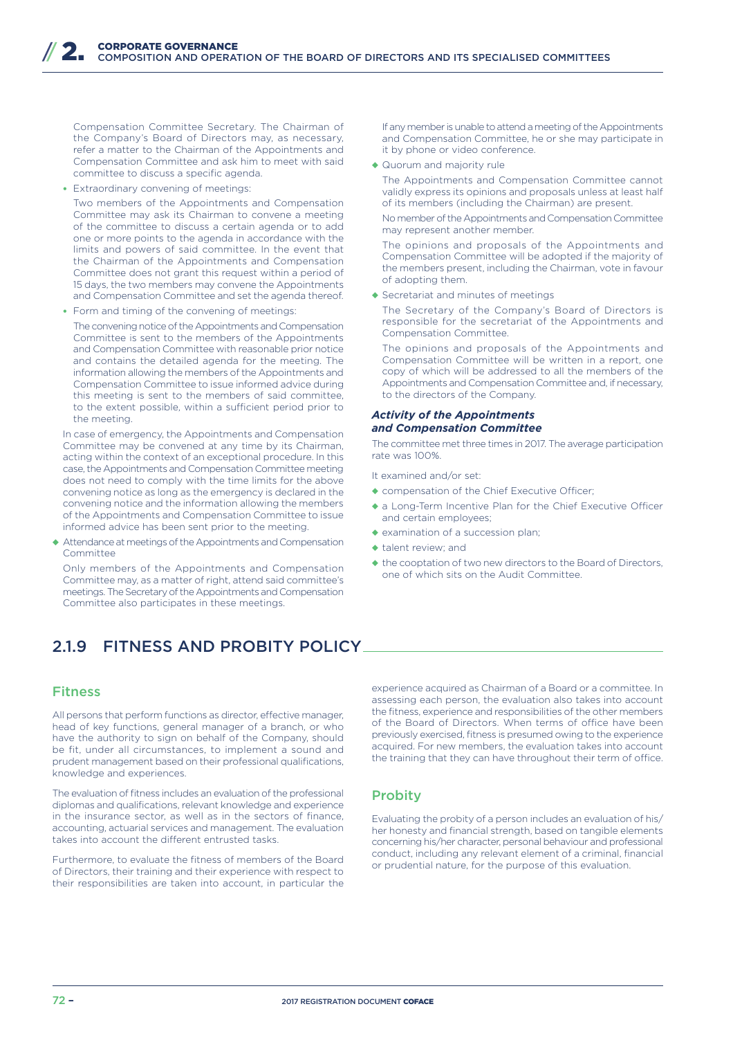Compensation Committee Secretary. The Chairman of the Company's Board of Directors may, as necessary, refer a matter to the Chairman of the Appointments and Compensation Committee and ask him to meet with said committee to discuss a specific agenda.

• Extraordinary convening of meetings:

Two members of the Appointments and Compensation Committee may ask its Chairman to convene a meeting of the committee to discuss a certain agenda or to add one or more points to the agenda in accordance with the limits and powers of said committee. In the event that the Chairman of the Appointments and Compensation Committee does not grant this request within a period of 15 days, the two members may convene the Appointments and Compensation Committee and set the agenda thereof.

• Form and timing of the convening of meetings:

The convening notice of the Appointments and Compensation Committee is sent to the members of the Appointments and Compensation Committee with reasonable prior notice and contains the detailed agenda for the meeting. The information allowing the members of the Appointments and Compensation Committee to issue informed advice during this meeting is sent to the members of said committee, to the extent possible, within a sufficient period prior to the meeting.

In case of emergency, the Appointments and Compensation Committee may be convened at any time by its Chairman, acting within the context of an exceptional procedure. In this case, the Appointments and Compensation Committee meeting does not need to comply with the time limits for the above convening notice as long as the emergency is declared in the convening notice and the information allowing the members of the Appointments and Compensation Committee to issue informed advice has been sent prior to the meeting.

◆ Attendance at meetings of the Appointments and Compensation **Committee** 

Only members of the Appointments and Compensation Committee may, as a matter of right, attend said committee's meetings. The Secretary of the Appointments and Compensation Committee also participates in these meetings.

## 2.1.9 FITNESS AND PROBITY POLICY

### Fitness

All persons that perform functions as director, effective manager, head of key functions, general manager of a branch, or who have the authority to sign on behalf of the Company, should be fit, under all circumstances, to implement a sound and prudent management based on their professional qualifications, knowledge and experiences.

The evaluation of fitness includes an evaluation of the professional diplomas and qualifications, relevant knowledge and experience in the insurance sector, as well as in the sectors of finance, accounting, actuarial services and management. The evaluation takes into account the different entrusted tasks.

Furthermore, to evaluate the fitness of members of the Board of Directors, their training and their experience with respect to their responsibilities are taken into account, in particular the

If any member is unable to attend a meeting of the Appointments and Compensation Committee, he or she may participate in it by phone or video conference.

◆ Quorum and majority rule

The Appointments and Compensation Committee cannot validly express its opinions and proposals unless at least half of its members (including the Chairman) are present.

No member of the Appointments and Compensation Committee may represent another member.

The opinions and proposals of the Appointments and Compensation Committee will be adopted if the majority of the members present, including the Chairman, vote in favour of adopting them.

◆ Secretariat and minutes of meetings

The Secretary of the Company's Board of Directors is responsible for the secretariat of the Appointments and Compensation Committee.

The opinions and proposals of the Appointments and Compensation Committee will be written in a report, one copy of which will be addressed to all the members of the Appointments and Compensation Committee and, if necessary, to the directors of the Company.

#### *Activity of the Appointments and Compensation Committee*

The committee met three times in 2017. The average participation rate was 100%.

It examined and/or set:

- ◆ compensation of the Chief Executive Officer;
- ◆ a Long-Term Incentive Plan for the Chief Executive Officer and certain employees;
- ◆ examination of a succession plan;
- ◆ talent review; and
- ◆ the cooptation of two new directors to the Board of Directors, one of which sits on the Audit Committee.

experience acquired as Chairman of a Board or a committee. In assessing each person, the evaluation also takes into account the fitness, experience and responsibilities of the other members of the Board of Directors. When terms of office have been previously exercised, fitness is presumed owing to the experience acquired. For new members, the evaluation takes into account the training that they can have throughout their term of office.

### **Probity**

Evaluating the probity of a person includes an evaluation of his/ her honesty and financial strength, based on tangible elements concerning his/her character, personal behaviour and professional conduct, including any relevant element of a criminal, financial or prudential nature, for the purpose of this evaluation.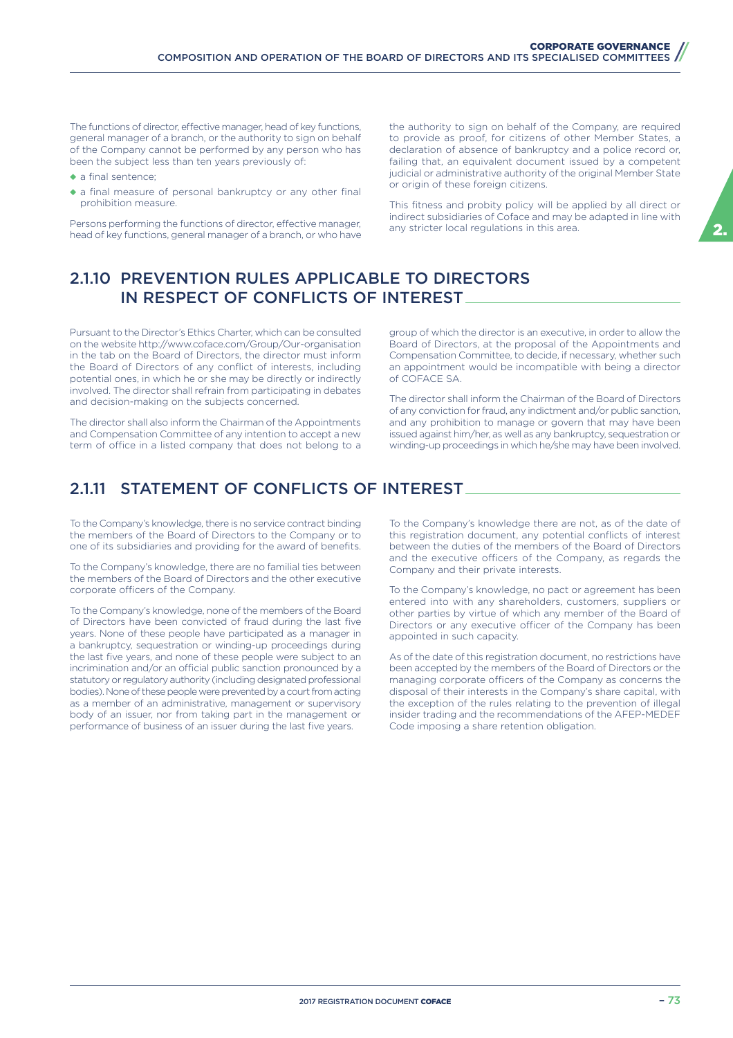The functions of director, effective manager, head of key functions, general manager of a branch, or the authority to sign on behalf of the Company cannot be performed by any person who has been the subject less than ten years previously of:

- ◆ a final sentence;
- ◆ a final measure of personal bankruptcy or any other final prohibition measure.

Persons performing the functions of director, effective manager, head of key functions, general manager of a branch, or who have

the authority to sign on behalf of the Company, are required to provide as proof, for citizens of other Member States, a declaration of absence of bankruptcy and a police record or, failing that, an equivalent document issued by a competent judicial or administrative authority of the original Member State or origin of these foreign citizens.

This fitness and probity policy will be applied by all direct or indirect subsidiaries of Coface and may be adapted in line with any stricter local regulations in this area.

## 2.1.10 PREVENTION RULES APPLICABLE TO DIRECTORS IN RESPECT OF CONFLICTS OF INTEREST

Pursuant to the Director's Ethics Charter, which can be consulted on the website http://www.coface.com/Group/Our-organisation in the tab on the Board of Directors, the director must inform the Board of Directors of any conflict of interests, including potential ones, in which he or she may be directly or indirectly involved. The director shall refrain from participating in debates and decision-making on the subjects concerned.

The director shall also inform the Chairman of the Appointments and Compensation Committee of any intention to accept a new term of office in a listed company that does not belong to a group of which the director is an executive, in order to allow the Board of Directors, at the proposal of the Appointments and Compensation Committee, to decide, if necessary, whether such an appointment would be incompatible with being a director of COFACE SA.

The director shall inform the Chairman of the Board of Directors of any conviction for fraud, any indictment and/or public sanction, and any prohibition to manage or govern that may have been issued against him/her, as well as any bankruptcy, sequestration or winding-up proceedings in which he/she may have been involved.

## 2.1.11 STATEMENT OF CONFLICTS OF INTEREST

To the Company's knowledge, there is no service contract binding the members of the Board of Directors to the Company or to one of its subsidiaries and providing for the award of benefits.

To the Company's knowledge, there are no familial ties between the members of the Board of Directors and the other executive corporate officers of the Company.

To the Company's knowledge, none of the members of the Board of Directors have been convicted of fraud during the last five years. None of these people have participated as a manager in a bankruptcy, sequestration or winding-up proceedings during the last five years, and none of these people were subject to an incrimination and/or an official public sanction pronounced by a statutory or regulatory authority (including designated professional bodies). None of these people were prevented by a court from acting as a member of an administrative, management or supervisory body of an issuer, nor from taking part in the management or performance of business of an issuer during the last five years.

To the Company's knowledge there are not, as of the date of this registration document, any potential conflicts of interest between the duties of the members of the Board of Directors and the executive officers of the Company, as regards the Company and their private interests.

To the Company's knowledge, no pact or agreement has been entered into with any shareholders, customers, suppliers or other parties by virtue of which any member of the Board of Directors or any executive officer of the Company has been appointed in such capacity.

As of the date of this registration document, no restrictions have been accepted by the members of the Board of Directors or the managing corporate officers of the Company as concerns the disposal of their interests in the Company's share capital, with the exception of the rules relating to the prevention of illegal insider trading and the recommendations of the AFEP-MEDEF Code imposing a share retention obligation.

2.